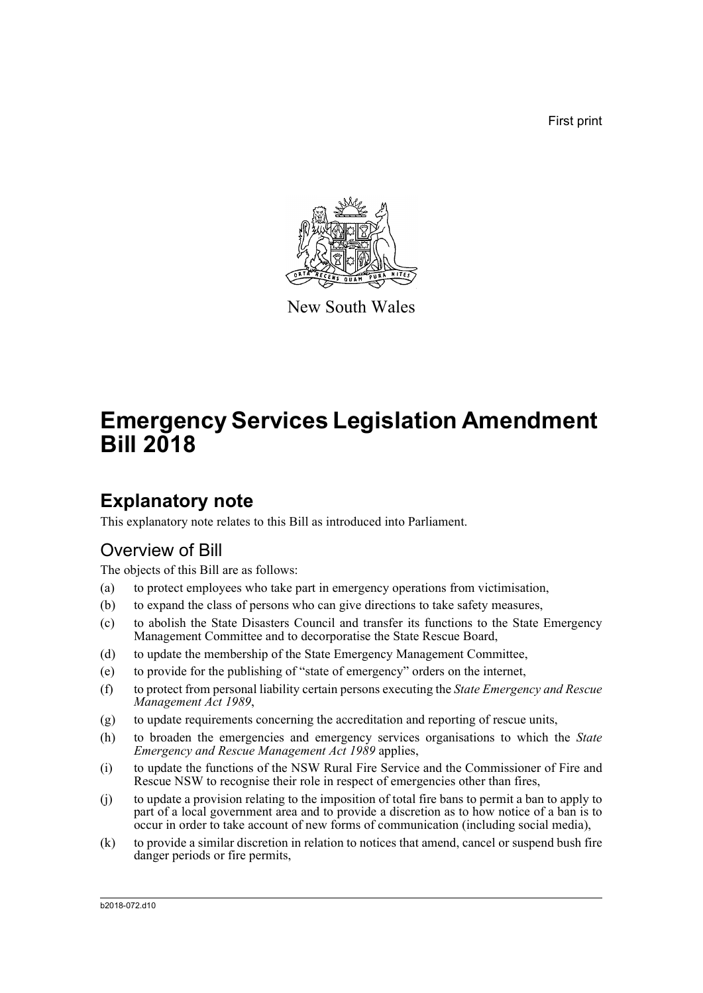First print



New South Wales

# **Emergency Services Legislation Amendment Bill 2018**

## **Explanatory note**

This explanatory note relates to this Bill as introduced into Parliament.

## Overview of Bill

The objects of this Bill are as follows:

- (a) to protect employees who take part in emergency operations from victimisation,
- (b) to expand the class of persons who can give directions to take safety measures,
- (c) to abolish the State Disasters Council and transfer its functions to the State Emergency Management Committee and to decorporatise the State Rescue Board,
- (d) to update the membership of the State Emergency Management Committee,
- (e) to provide for the publishing of "state of emergency" orders on the internet,
- (f) to protect from personal liability certain persons executing the *State Emergency and Rescue Management Act 1989*,
- (g) to update requirements concerning the accreditation and reporting of rescue units,
- (h) to broaden the emergencies and emergency services organisations to which the *State Emergency and Rescue Management Act 1989* applies,
- (i) to update the functions of the NSW Rural Fire Service and the Commissioner of Fire and Rescue NSW to recognise their role in respect of emergencies other than fires,
- (j) to update a provision relating to the imposition of total fire bans to permit a ban to apply to part of a local government area and to provide a discretion as to how notice of a ban is to occur in order to take account of new forms of communication (including social media),
- (k) to provide a similar discretion in relation to notices that amend, cancel or suspend bush fire danger periods or fire permits,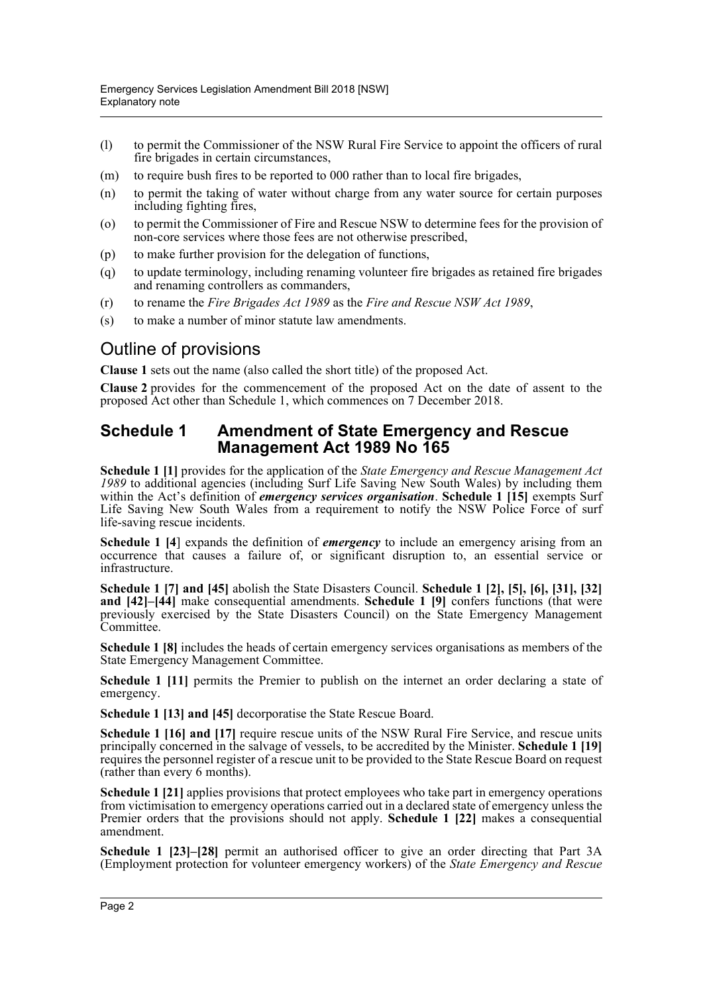- (l) to permit the Commissioner of the NSW Rural Fire Service to appoint the officers of rural fire brigades in certain circumstances,
- (m) to require bush fires to be reported to 000 rather than to local fire brigades,
- (n) to permit the taking of water without charge from any water source for certain purposes including fighting fires,
- (o) to permit the Commissioner of Fire and Rescue NSW to determine fees for the provision of non-core services where those fees are not otherwise prescribed,
- (p) to make further provision for the delegation of functions,
- (q) to update terminology, including renaming volunteer fire brigades as retained fire brigades and renaming controllers as commanders,
- (r) to rename the *Fire Brigades Act 1989* as the *Fire and Rescue NSW Act 1989*,
- (s) to make a number of minor statute law amendments.

## Outline of provisions

**Clause 1** sets out the name (also called the short title) of the proposed Act.

**Clause 2** provides for the commencement of the proposed Act on the date of assent to the proposed Act other than Schedule 1, which commences on 7 December 2018.

#### **Schedule 1 Amendment of State Emergency and Rescue Management Act 1989 No 165**

**Schedule 1 [1]** provides for the application of the *State Emergency and Rescue Management Act 1989* to additional agencies (including Surf Life Saving New South Wales) by including them within the Act's definition of *emergency services organisation*. **Schedule 1 [15]** exempts Surf Life Saving New South Wales from a requirement to notify the NSW Police Force of surf life-saving rescue incidents.

**Schedule 1 [4] expands the definition of** *emergency* to include an emergency arising from an occurrence that causes a failure of, or significant disruption to, an essential service or infrastructure.

**Schedule 1 [7] and [45]** abolish the State Disasters Council. **Schedule 1 [2], [5], [6], [31], [32] and [42]–[44]** make consequential amendments. **Schedule 1 [9]** confers functions (that were previously exercised by the State Disasters Council) on the State Emergency Management Committee.

**Schedule 1 [8]** includes the heads of certain emergency services organisations as members of the State Emergency Management Committee.

**Schedule 1 [11]** permits the Premier to publish on the internet an order declaring a state of emergency.

**Schedule 1 [13] and [45]** decorporatise the State Rescue Board.

**Schedule 1 [16] and [17]** require rescue units of the NSW Rural Fire Service, and rescue units principally concerned in the salvage of vessels, to be accredited by the Minister. **Schedule 1 [19]** requires the personnel register of a rescue unit to be provided to the State Rescue Board on request (rather than every 6 months).

**Schedule 1 [21]** applies provisions that protect employees who take part in emergency operations from victimisation to emergency operations carried out in a declared state of emergency unless the Premier orders that the provisions should not apply. **Schedule 1 [22]** makes a consequential amendment.

**Schedule 1 [23]–[28]** permit an authorised officer to give an order directing that Part 3A (Employment protection for volunteer emergency workers) of the *State Emergency and Rescue*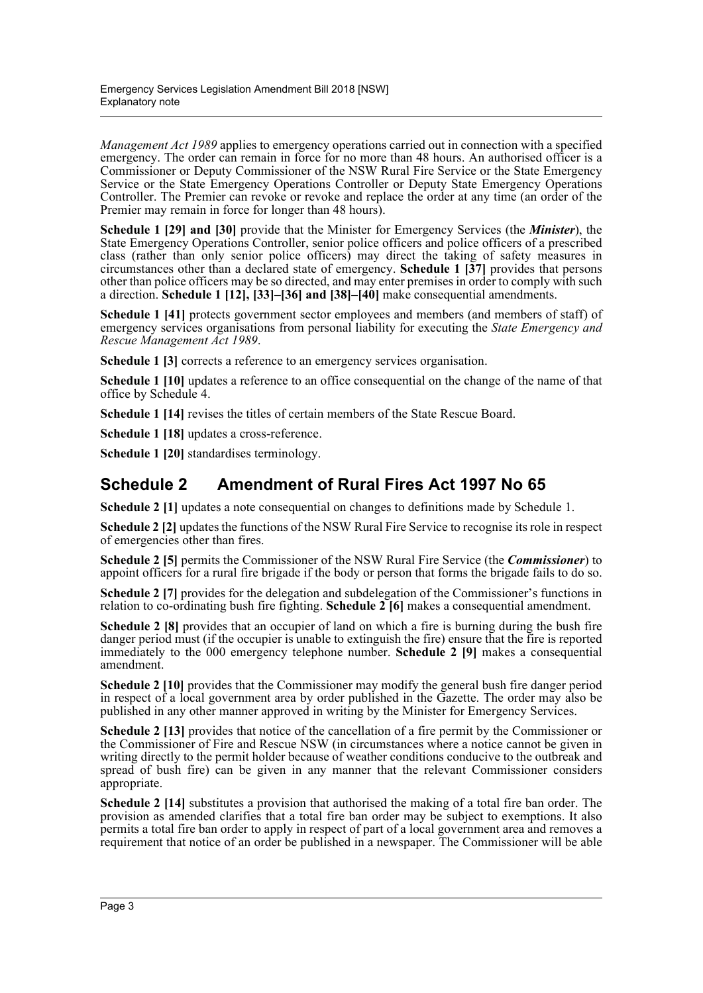*Management Act 1989* applies to emergency operations carried out in connection with a specified emergency. The order can remain in force for no more than 48 hours. An authorised officer is a Commissioner or Deputy Commissioner of the NSW Rural Fire Service or the State Emergency Service or the State Emergency Operations Controller or Deputy State Emergency Operations Controller. The Premier can revoke or revoke and replace the order at any time (an order of the Premier may remain in force for longer than 48 hours).

**Schedule 1 [29] and [30]** provide that the Minister for Emergency Services (the *Minister*), the State Emergency Operations Controller, senior police officers and police officers of a prescribed class (rather than only senior police officers) may direct the taking of safety measures in circumstances other than a declared state of emergency. **Schedule 1 [37]** provides that persons other than police officers may be so directed, and may enter premises in order to comply with such a direction. **Schedule 1 [12], [33]–[36] and [38]–[40]** make consequential amendments.

**Schedule 1 [41]** protects government sector employees and members (and members of staff) of emergency services organisations from personal liability for executing the *State Emergency and Rescue Management Act 1989*.

**Schedule 1 [3]** corrects a reference to an emergency services organisation.

**Schedule 1 [10]** updates a reference to an office consequential on the change of the name of that office by Schedule 4.

**Schedule 1 [14]** revises the titles of certain members of the State Rescue Board.

**Schedule 1 [18]** updates a cross-reference.

**Schedule 1 [20]** standardises terminology.

## **Schedule 2 Amendment of Rural Fires Act 1997 No 65**

**Schedule 2 [1]** updates a note consequential on changes to definitions made by Schedule 1.

**Schedule 2 [2]** updates the functions of the NSW Rural Fire Service to recognise its role in respect of emergencies other than fires.

**Schedule 2 [5]** permits the Commissioner of the NSW Rural Fire Service (the *Commissioner*) to appoint officers for a rural fire brigade if the body or person that forms the brigade fails to do so.

**Schedule 2 [7]** provides for the delegation and subdelegation of the Commissioner's functions in relation to co-ordinating bush fire fighting. **Schedule 2 [6]** makes a consequential amendment.

**Schedule 2 [8]** provides that an occupier of land on which a fire is burning during the bush fire danger period must (if the occupier is unable to extinguish the fire) ensure that the fire is reported immediately to the 000 emergency telephone number. **Schedule 2 [9]** makes a consequential amendment.

**Schedule 2 [10]** provides that the Commissioner may modify the general bush fire danger period in respect of a local government area by order published in the Gazette. The order may also be published in any other manner approved in writing by the Minister for Emergency Services.

**Schedule 2 [13]** provides that notice of the cancellation of a fire permit by the Commissioner or the Commissioner of Fire and Rescue NSW (in circumstances where a notice cannot be given in writing directly to the permit holder because of weather conditions conducive to the outbreak and spread of bush fire) can be given in any manner that the relevant Commissioner considers appropriate.

**Schedule 2 [14]** substitutes a provision that authorised the making of a total fire ban order. The provision as amended clarifies that a total fire ban order may be subject to exemptions. It also permits a total fire ban order to apply in respect of part of a local government area and removes a requirement that notice of an order be published in a newspaper. The Commissioner will be able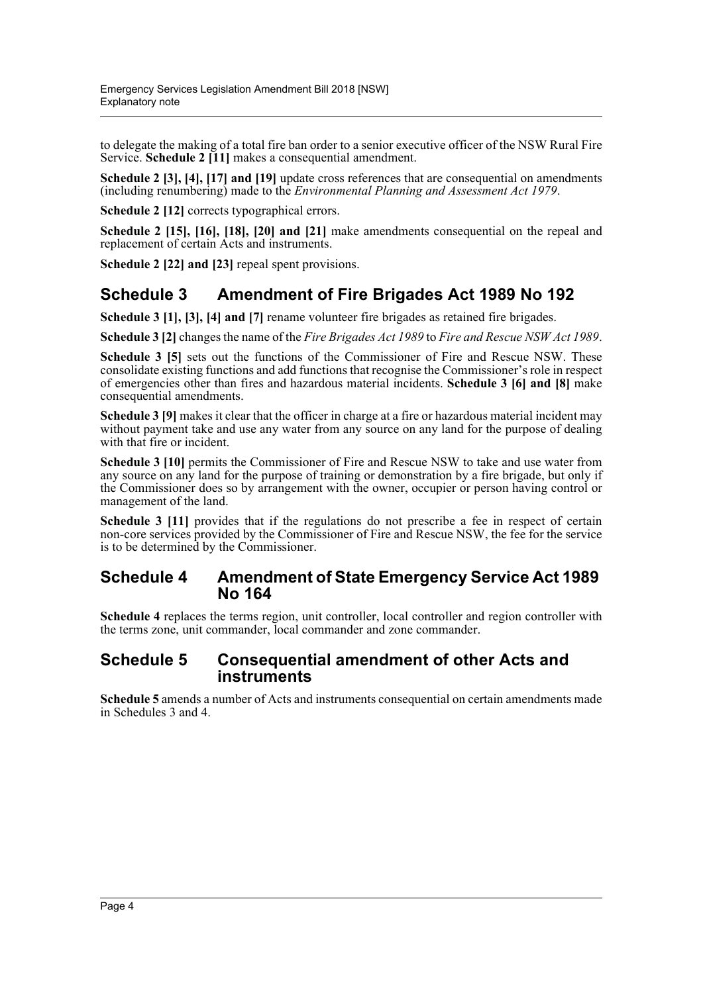to delegate the making of a total fire ban order to a senior executive officer of the NSW Rural Fire Service. **Schedule 2 [11]** makes a consequential amendment.

**Schedule 2 [3], [4], [17] and [19]** update cross references that are consequential on amendments (including renumbering) made to the *Environmental Planning and Assessment Act 1979*.

**Schedule 2 [12]** corrects typographical errors.

**Schedule 2 [15], [16], [18], [20] and [21]** make amendments consequential on the repeal and replacement of certain Acts and instruments.

**Schedule 2 [22] and [23]** repeal spent provisions.

## **Schedule 3 Amendment of Fire Brigades Act 1989 No 192**

**Schedule 3 [1], [3], [4] and [7]** rename volunteer fire brigades as retained fire brigades.

**Schedule 3 [2]** changes the name of the *Fire Brigades Act 1989* to *Fire and Rescue NSW Act 1989*.

**Schedule 3 [5]** sets out the functions of the Commissioner of Fire and Rescue NSW. These consolidate existing functions and add functions that recognise the Commissioner's role in respect of emergencies other than fires and hazardous material incidents. **Schedule 3 [6] and [8]** make consequential amendments.

**Schedule 3 [9]** makes it clear that the officer in charge at a fire or hazardous material incident may without payment take and use any water from any source on any land for the purpose of dealing with that fire or incident.

**Schedule 3 [10]** permits the Commissioner of Fire and Rescue NSW to take and use water from any source on any land for the purpose of training or demonstration by a fire brigade, but only if the Commissioner does so by arrangement with the owner, occupier or person having control or management of the land.

**Schedule 3 [11]** provides that if the regulations do not prescribe a fee in respect of certain non-core services provided by the Commissioner of Fire and Rescue NSW, the fee for the service is to be determined by the Commissioner.

#### **Schedule 4 Amendment of State Emergency Service Act 1989 No 164**

**Schedule 4** replaces the terms region, unit controller, local controller and region controller with the terms zone, unit commander, local commander and zone commander.

#### **Schedule 5 Consequential amendment of other Acts and instruments**

**Schedule 5** amends a number of Acts and instruments consequential on certain amendments made in Schedules 3 and 4.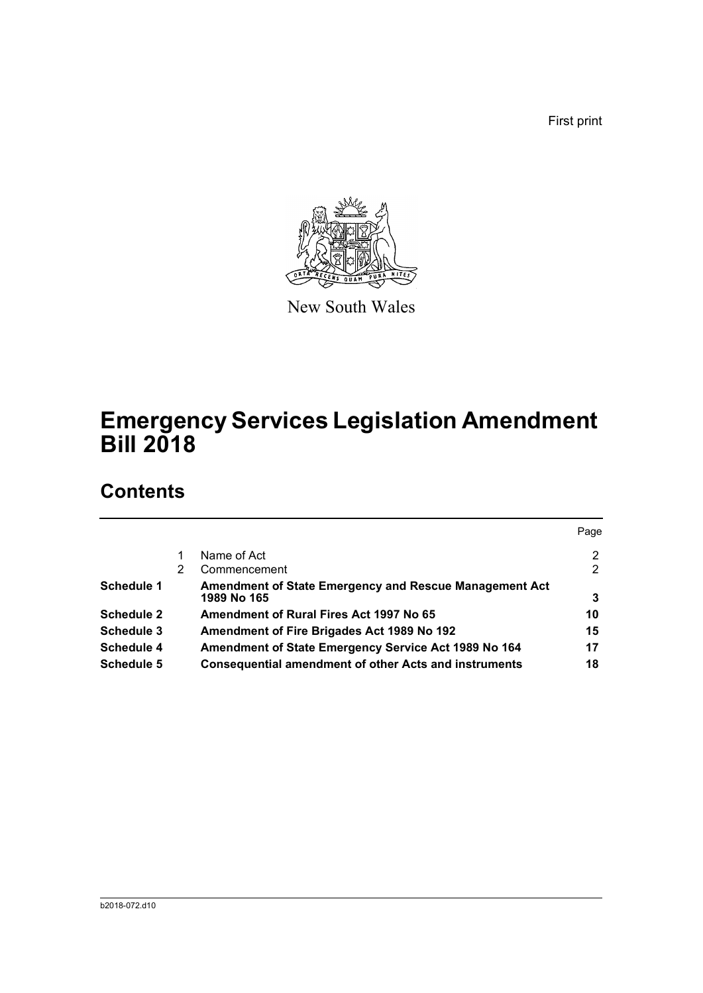First print



New South Wales

# **Emergency Services Legislation Amendment Bill 2018**

## **Contents**

|                   |   |                                                                       | Page |
|-------------------|---|-----------------------------------------------------------------------|------|
|                   |   | Name of Act                                                           | 2    |
|                   | 2 | Commencement                                                          | 2    |
| Schedule 1        |   | Amendment of State Emergency and Rescue Management Act<br>1989 No 165 | 3    |
| <b>Schedule 2</b> |   | Amendment of Rural Fires Act 1997 No 65                               | 10   |
| Schedule 3        |   | <b>Amendment of Fire Brigades Act 1989 No 192</b>                     | 15   |
| <b>Schedule 4</b> |   | Amendment of State Emergency Service Act 1989 No 164                  | 17   |
| Schedule 5        |   | <b>Consequential amendment of other Acts and instruments</b>          | 18   |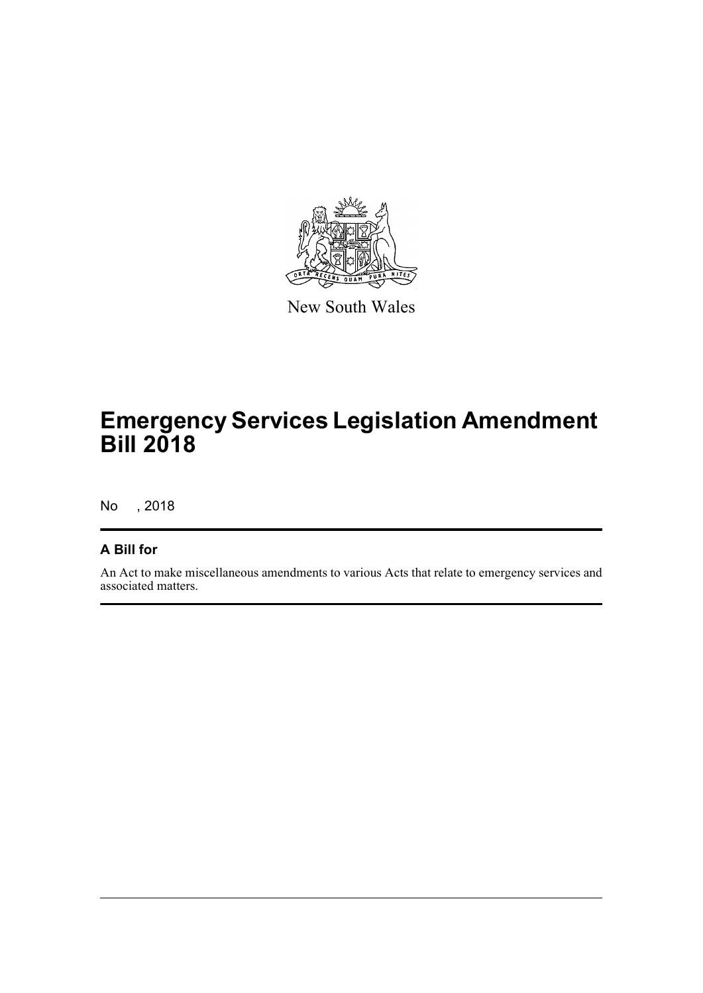

New South Wales

# **Emergency Services Legislation Amendment Bill 2018**

No , 2018

#### **A Bill for**

An Act to make miscellaneous amendments to various Acts that relate to emergency services and associated matters.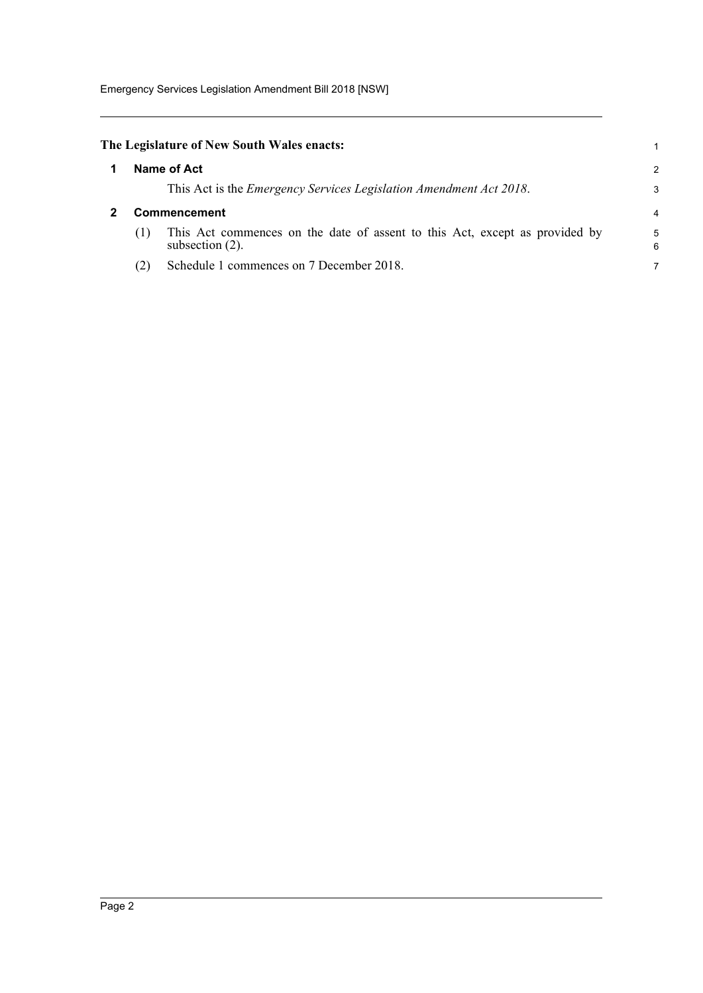Emergency Services Legislation Amendment Bill 2018 [NSW]

<span id="page-6-1"></span><span id="page-6-0"></span>

|     | The Legislature of New South Wales enacts:                                                        |        |
|-----|---------------------------------------------------------------------------------------------------|--------|
|     | Name of Act                                                                                       |        |
|     | This Act is the <i>Emergency Services Legislation Amendment Act 2018</i> .                        | З      |
|     | Commencement                                                                                      |        |
| (1) | This Act commences on the date of assent to this Act, except as provided by<br>subsection $(2)$ . | 5<br>F |
| (2) | Schedule 1 commences on 7 December 2018.                                                          |        |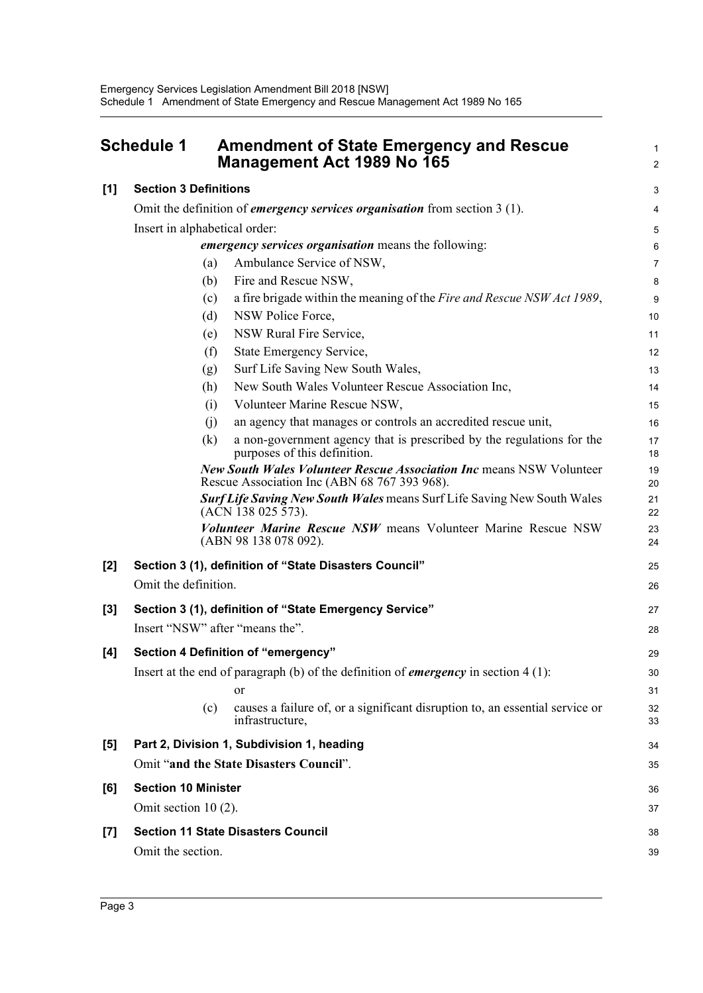<span id="page-7-0"></span>

|       | <b>Schedule 1</b>                                                                 | <b>Amendment of State Emergency and Rescue</b><br>Management Act 1989 No 165                                                | 1<br>2         |  |  |  |
|-------|-----------------------------------------------------------------------------------|-----------------------------------------------------------------------------------------------------------------------------|----------------|--|--|--|
| [1]   | <b>Section 3 Definitions</b>                                                      |                                                                                                                             | 3              |  |  |  |
|       | Omit the definition of <i>emergency services organisation</i> from section 3 (1). |                                                                                                                             |                |  |  |  |
|       | Insert in alphabetical order:                                                     |                                                                                                                             | 5              |  |  |  |
|       |                                                                                   | <i>emergency services organisation</i> means the following:                                                                 | 6              |  |  |  |
|       | (a)                                                                               | Ambulance Service of NSW,                                                                                                   | $\overline{7}$ |  |  |  |
|       | (b)                                                                               | Fire and Rescue NSW,                                                                                                        | 8              |  |  |  |
|       | (c)                                                                               | a fire brigade within the meaning of the Fire and Rescue NSW Act 1989,                                                      | 9              |  |  |  |
|       | (d)                                                                               | NSW Police Force,                                                                                                           | 10             |  |  |  |
|       | (e)                                                                               | NSW Rural Fire Service,                                                                                                     | 11             |  |  |  |
|       | (f)                                                                               | State Emergency Service,                                                                                                    | 12             |  |  |  |
|       | (g)                                                                               | Surf Life Saving New South Wales,                                                                                           | 13             |  |  |  |
|       | (h)                                                                               | New South Wales Volunteer Rescue Association Inc,                                                                           | 14             |  |  |  |
|       | (i)                                                                               | Volunteer Marine Rescue NSW,                                                                                                | 15             |  |  |  |
|       | (i)                                                                               | an agency that manages or controls an accredited rescue unit,                                                               | 16             |  |  |  |
|       | (k)                                                                               | a non-government agency that is prescribed by the regulations for the<br>purposes of this definition.                       | 17<br>18       |  |  |  |
|       |                                                                                   | <b>New South Wales Volunteer Rescue Association Inc means NSW Volunteer</b><br>Rescue Association Inc (ABN 68 767 393 968). | 19<br>20       |  |  |  |
|       |                                                                                   | <b>Surf Life Saving New South Wales means Surf Life Saving New South Wales</b><br>(ACN 138 025 573).                        | 21<br>22       |  |  |  |
|       |                                                                                   | Volunteer Marine Rescue NSW means Volunteer Marine Rescue NSW<br>(ABN 98 138 078 092).                                      | 23<br>24       |  |  |  |
| $[2]$ |                                                                                   | Section 3 (1), definition of "State Disasters Council"                                                                      | 25             |  |  |  |
|       | Omit the definition.                                                              |                                                                                                                             | 26             |  |  |  |
| $[3]$ |                                                                                   | Section 3 (1), definition of "State Emergency Service"                                                                      | 27             |  |  |  |
|       |                                                                                   | Insert "NSW" after "means the".                                                                                             | 28             |  |  |  |
| [4]   |                                                                                   | <b>Section 4 Definition of "emergency"</b>                                                                                  | 29             |  |  |  |
|       |                                                                                   | Insert at the end of paragraph (b) of the definition of <i>emergency</i> in section $4(1)$ :                                | 30             |  |  |  |
|       |                                                                                   | or                                                                                                                          | 31             |  |  |  |
|       | (c)                                                                               | causes a failure of, or a significant disruption to, an essential service or<br>infrastructure,                             | 32<br>33       |  |  |  |
| $[5]$ |                                                                                   | Part 2, Division 1, Subdivision 1, heading                                                                                  | 34             |  |  |  |
|       |                                                                                   | Omit "and the State Disasters Council".                                                                                     | 35             |  |  |  |
| [6]   | <b>Section 10 Minister</b>                                                        |                                                                                                                             | 36             |  |  |  |
|       | Omit section 10 (2).                                                              |                                                                                                                             | 37             |  |  |  |
| $[7]$ |                                                                                   | <b>Section 11 State Disasters Council</b>                                                                                   | 38             |  |  |  |
|       | Omit the section.                                                                 |                                                                                                                             | 39             |  |  |  |
|       |                                                                                   |                                                                                                                             |                |  |  |  |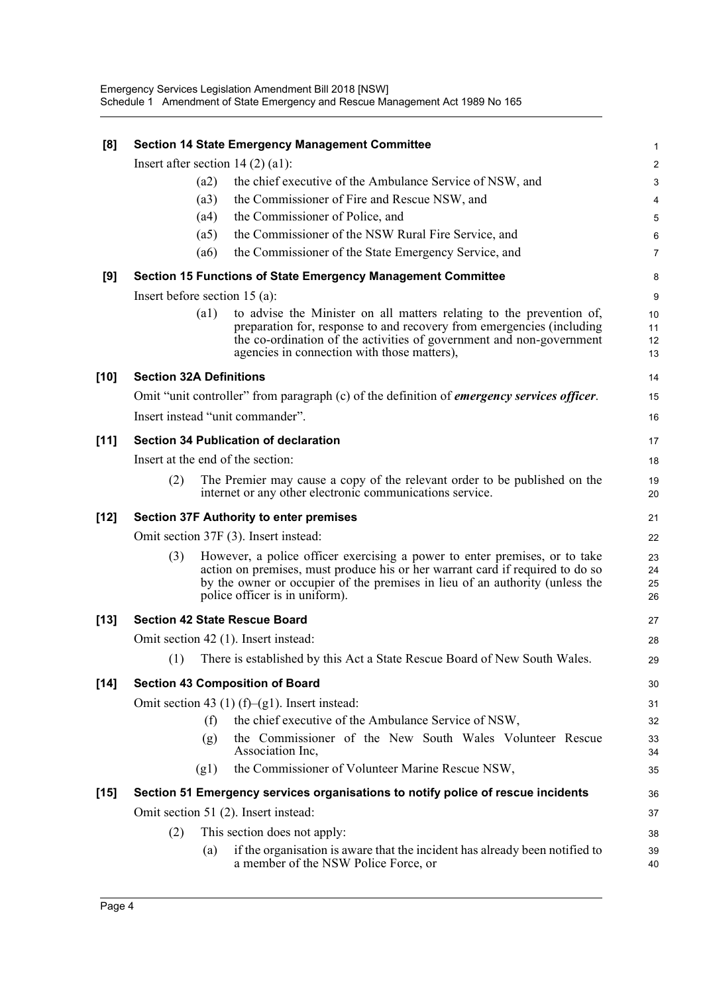| [8]    |                                      | <b>Section 14 State Emergency Management Committee</b>                                                                                                                                                                                                                        | $\mathbf 1$             |  |  |  |
|--------|--------------------------------------|-------------------------------------------------------------------------------------------------------------------------------------------------------------------------------------------------------------------------------------------------------------------------------|-------------------------|--|--|--|
|        | Insert after section $14(2)(a1)$ :   |                                                                                                                                                                                                                                                                               | $\overline{\mathbf{c}}$ |  |  |  |
|        | (a2)                                 | the chief executive of the Ambulance Service of NSW, and                                                                                                                                                                                                                      | 3                       |  |  |  |
|        | (a3)                                 | the Commissioner of Fire and Rescue NSW, and                                                                                                                                                                                                                                  | 4                       |  |  |  |
|        | (a4)                                 | the Commissioner of Police, and                                                                                                                                                                                                                                               | 5                       |  |  |  |
|        | (a5)                                 | the Commissioner of the NSW Rural Fire Service, and                                                                                                                                                                                                                           | 6                       |  |  |  |
|        | (a6)                                 | the Commissioner of the State Emergency Service, and                                                                                                                                                                                                                          | $\overline{7}$          |  |  |  |
| [9]    |                                      | <b>Section 15 Functions of State Emergency Management Committee</b>                                                                                                                                                                                                           | 8                       |  |  |  |
|        | Insert before section $15$ (a):      |                                                                                                                                                                                                                                                                               | 9                       |  |  |  |
|        | (a1)                                 | to advise the Minister on all matters relating to the prevention of,<br>preparation for, response to and recovery from emergencies (including<br>the co-ordination of the activities of government and non-government<br>agencies in connection with those matters),          | 10<br>11<br>12<br>13    |  |  |  |
| $[10]$ | <b>Section 32A Definitions</b>       |                                                                                                                                                                                                                                                                               | 14                      |  |  |  |
|        |                                      | Omit "unit controller" from paragraph (c) of the definition of <i>emergency services officer</i> .                                                                                                                                                                            | 15                      |  |  |  |
|        | Insert instead "unit commander".     |                                                                                                                                                                                                                                                                               | 16                      |  |  |  |
| [11]   |                                      | Section 34 Publication of declaration                                                                                                                                                                                                                                         | 17                      |  |  |  |
|        | Insert at the end of the section:    |                                                                                                                                                                                                                                                                               |                         |  |  |  |
|        | (2)                                  | The Premier may cause a copy of the relevant order to be published on the<br>internet or any other electronic communications service.                                                                                                                                         | 19<br>20                |  |  |  |
| $[12]$ |                                      | <b>Section 37F Authority to enter premises</b>                                                                                                                                                                                                                                | 21                      |  |  |  |
|        |                                      | Omit section 37F (3). Insert instead:                                                                                                                                                                                                                                         | 22                      |  |  |  |
|        | (3)                                  | However, a police officer exercising a power to enter premises, or to take<br>action on premises, must produce his or her warrant card if required to do so<br>by the owner or occupier of the premises in lieu of an authority (unless the<br>police officer is in uniform). | 23<br>24<br>25<br>26    |  |  |  |
| $[13]$ | <b>Section 42 State Rescue Board</b> |                                                                                                                                                                                                                                                                               | 27                      |  |  |  |
|        | Omit section 42 (1). Insert instead: |                                                                                                                                                                                                                                                                               | 28                      |  |  |  |
|        |                                      | (1) There is established by this Act a State Rescue Board of New South Wales.                                                                                                                                                                                                 | 29                      |  |  |  |
| $[14]$ |                                      | <b>Section 43 Composition of Board</b>                                                                                                                                                                                                                                        | 30                      |  |  |  |
|        |                                      | Omit section 43 (1) (f)–(g1). Insert instead:                                                                                                                                                                                                                                 | 31                      |  |  |  |
|        | (f)                                  | the chief executive of the Ambulance Service of NSW,                                                                                                                                                                                                                          | 32                      |  |  |  |
|        | (g)                                  | the Commissioner of the New South Wales Volunteer Rescue<br>Association Inc,                                                                                                                                                                                                  | 33<br>34                |  |  |  |
|        | (g1)                                 | the Commissioner of Volunteer Marine Rescue NSW,                                                                                                                                                                                                                              | 35                      |  |  |  |
| $[15]$ |                                      | Section 51 Emergency services organisations to notify police of rescue incidents                                                                                                                                                                                              | 36                      |  |  |  |
|        | Omit section 51 (2). Insert instead: |                                                                                                                                                                                                                                                                               | 37                      |  |  |  |
|        | (2)                                  | This section does not apply:                                                                                                                                                                                                                                                  | 38                      |  |  |  |
|        | (a)                                  | if the organisation is aware that the incident has already been notified to<br>a member of the NSW Police Force, or                                                                                                                                                           | 39<br>40                |  |  |  |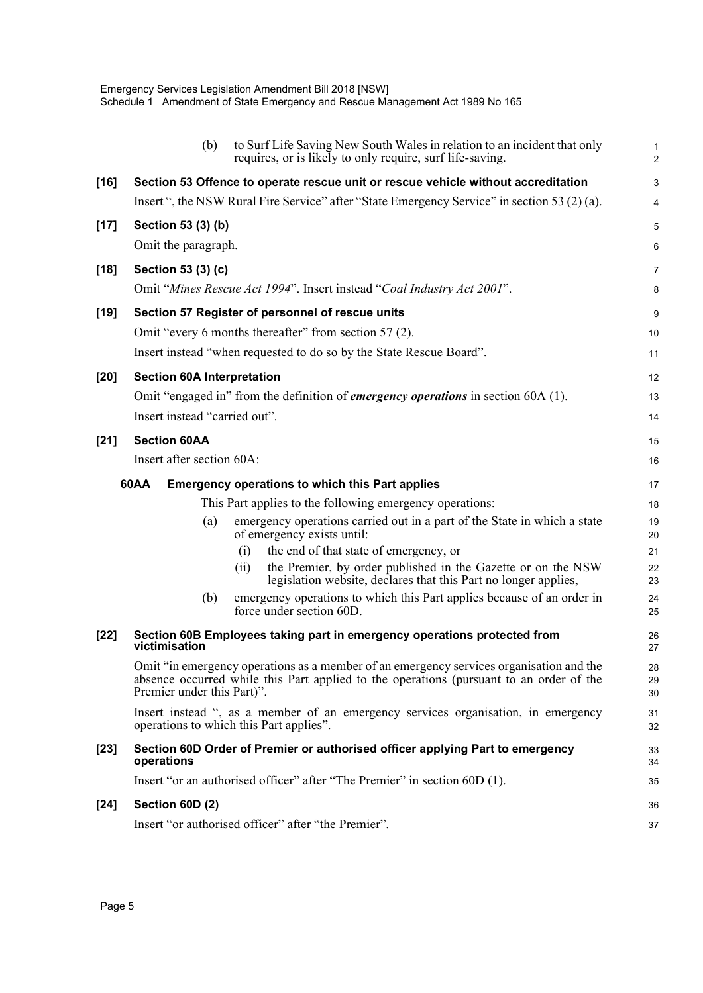|        | (b)                               | to Surf Life Saving New South Wales in relation to an incident that only<br>requires, or is likely to only require, surf life-saving.                                              | 1<br>$\overline{c}$ |
|--------|-----------------------------------|------------------------------------------------------------------------------------------------------------------------------------------------------------------------------------|---------------------|
| $[16]$ |                                   | Section 53 Offence to operate rescue unit or rescue vehicle without accreditation                                                                                                  | 3                   |
|        |                                   | Insert ", the NSW Rural Fire Service" after "State Emergency Service" in section 53 (2) (a).                                                                                       | 4                   |
| $[17]$ | Section 53 (3) (b)                |                                                                                                                                                                                    | 5                   |
|        | Omit the paragraph.               |                                                                                                                                                                                    | 6                   |
| $[18]$ | Section 53 (3) (c)                |                                                                                                                                                                                    | 7                   |
|        |                                   | Omit "Mines Rescue Act 1994". Insert instead "Coal Industry Act 2001".                                                                                                             | 8                   |
| $[19]$ |                                   | Section 57 Register of personnel of rescue units                                                                                                                                   | 9                   |
|        |                                   | Omit "every 6 months thereafter" from section 57 (2).                                                                                                                              | 10                  |
|        |                                   | Insert instead "when requested to do so by the State Rescue Board".                                                                                                                | 11                  |
| $[20]$ | <b>Section 60A Interpretation</b> |                                                                                                                                                                                    | 12                  |
|        |                                   | Omit "engaged in" from the definition of <i>emergency operations</i> in section 60A (1).                                                                                           | 13                  |
|        | Insert instead "carried out".     |                                                                                                                                                                                    | 14                  |
| $[21]$ | <b>Section 60AA</b>               |                                                                                                                                                                                    | 15                  |
|        | Insert after section 60A:         |                                                                                                                                                                                    | 16                  |
|        | 60AA                              | <b>Emergency operations to which this Part applies</b>                                                                                                                             | 17                  |
|        |                                   | This Part applies to the following emergency operations:                                                                                                                           | 18                  |
|        | (a)                               | emergency operations carried out in a part of the State in which a state<br>of emergency exists until:                                                                             | 19<br>20            |
|        |                                   | the end of that state of emergency, or<br>(i)                                                                                                                                      | 21                  |
|        |                                   | the Premier, by order published in the Gazette or on the NSW<br>(i)<br>legislation website, declares that this Part no longer applies,                                             | 22<br>23            |
|        | (b)                               | emergency operations to which this Part applies because of an order in<br>force under section 60D.                                                                                 | 24<br>25            |
| $[22]$ | victimisation                     | Section 60B Employees taking part in emergency operations protected from                                                                                                           | 26<br>27            |
|        |                                   | Omit "in emergency operations as a member of an emergency services organisation and the<br>absence occurred while this Part applied to the operations (pursuant to an order of the | 28<br>29            |
|        | Premier under this Part)".        |                                                                                                                                                                                    | 30                  |
|        |                                   | Insert instead ", as a member of an emergency services organisation, in emergency<br>operations to which this Part applies".                                                       | 31<br>32            |
| $[23]$ | operations                        | Section 60D Order of Premier or authorised officer applying Part to emergency                                                                                                      | 33<br>34            |
|        |                                   | Insert "or an authorised officer" after "The Premier" in section 60D (1).                                                                                                          | 35                  |
| $[24]$ | Section 60D (2)                   |                                                                                                                                                                                    | 36                  |
|        |                                   | Insert "or authorised officer" after "the Premier".                                                                                                                                | 37                  |
|        |                                   |                                                                                                                                                                                    |                     |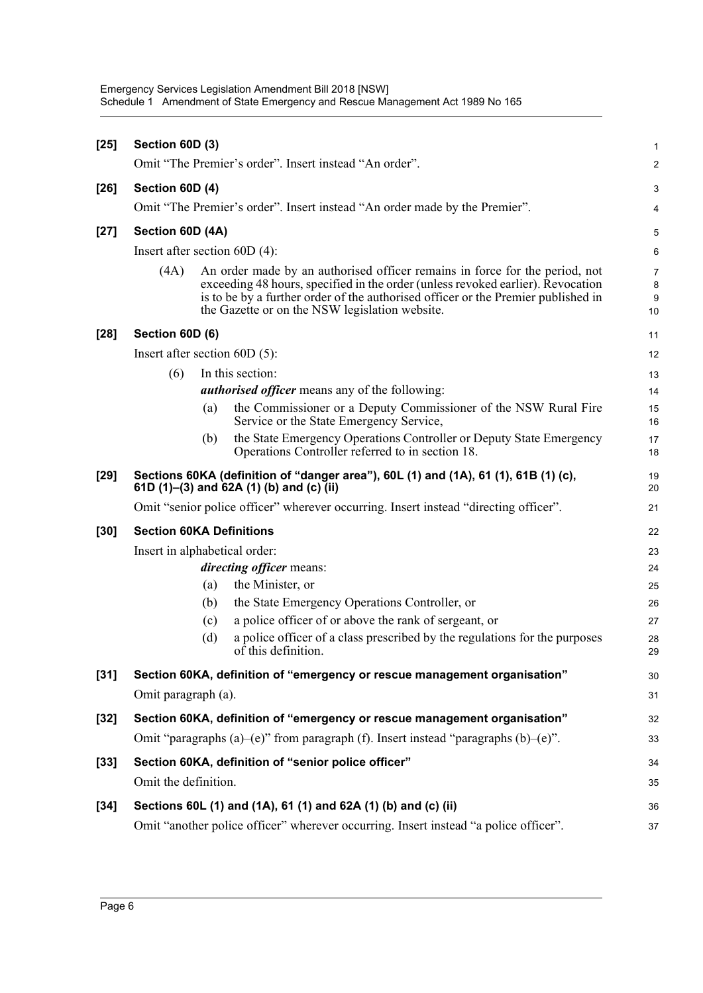| $[25]$ | Section 60D (3)                 |     |                                                                                                                                                                                                                                                                                                       | $\mathbf{1}$      |
|--------|---------------------------------|-----|-------------------------------------------------------------------------------------------------------------------------------------------------------------------------------------------------------------------------------------------------------------------------------------------------------|-------------------|
|        |                                 |     | Omit "The Premier's order". Insert instead "An order".                                                                                                                                                                                                                                                | 2                 |
| $[26]$ | Section 60D (4)                 |     |                                                                                                                                                                                                                                                                                                       | 3                 |
|        |                                 |     | Omit "The Premier's order". Insert instead "An order made by the Premier".                                                                                                                                                                                                                            | 4                 |
| $[27]$ | Section 60D (4A)                |     |                                                                                                                                                                                                                                                                                                       | 5                 |
|        | Insert after section $60D(4)$ : |     |                                                                                                                                                                                                                                                                                                       | 6                 |
|        | (4A)                            |     | An order made by an authorised officer remains in force for the period, not<br>exceeding 48 hours, specified in the order (unless revoked earlier). Revocation<br>is to be by a further order of the authorised officer or the Premier published in<br>the Gazette or on the NSW legislation website. | 7<br>8<br>9<br>10 |
| $[28]$ | Section 60D (6)                 |     |                                                                                                                                                                                                                                                                                                       | 11                |
|        | Insert after section $60D(5)$ : |     |                                                                                                                                                                                                                                                                                                       | 12                |
|        | (6)                             |     | In this section:                                                                                                                                                                                                                                                                                      | 13                |
|        |                                 |     | <i>authorised officer</i> means any of the following:                                                                                                                                                                                                                                                 | 14                |
|        |                                 | (a) | the Commissioner or a Deputy Commissioner of the NSW Rural Fire<br>Service or the State Emergency Service,                                                                                                                                                                                            | 15<br>16          |
|        |                                 | (b) | the State Emergency Operations Controller or Deputy State Emergency<br>Operations Controller referred to in section 18.                                                                                                                                                                               | 17<br>18          |
| $[29]$ |                                 |     | Sections 60KA (definition of "danger area"), 60L (1) and (1A), 61 (1), 61B (1) (c),<br>61D (1)–(3) and 62A (1) (b) and (c) (ii)                                                                                                                                                                       | 19<br>20          |
|        |                                 |     | Omit "senior police officer" wherever occurring. Insert instead "directing officer".                                                                                                                                                                                                                  | 21                |
| $[30]$ | <b>Section 60KA Definitions</b> |     |                                                                                                                                                                                                                                                                                                       | 22                |
|        | Insert in alphabetical order:   |     |                                                                                                                                                                                                                                                                                                       | 23                |
|        |                                 |     | <i>directing officer means:</i>                                                                                                                                                                                                                                                                       | 24                |
|        |                                 | (a) | the Minister, or                                                                                                                                                                                                                                                                                      | 25                |
|        |                                 | (b) | the State Emergency Operations Controller, or                                                                                                                                                                                                                                                         | 26                |
|        |                                 | (c) | a police officer of or above the rank of sergeant, or                                                                                                                                                                                                                                                 | 27                |
|        |                                 | (d) | a police officer of a class prescribed by the regulations for the purposes<br>$of$ this definition.                                                                                                                                                                                                   | 28<br>29          |
| $[31]$ |                                 |     | Section 60KA, definition of "emergency or rescue management organisation"                                                                                                                                                                                                                             | 30                |
|        | Omit paragraph (a).             |     |                                                                                                                                                                                                                                                                                                       | 31                |
| $[32]$ |                                 |     | Section 60KA, definition of "emergency or rescue management organisation"                                                                                                                                                                                                                             | 32                |
|        |                                 |     | Omit "paragraphs (a)-(e)" from paragraph (f). Insert instead "paragraphs (b)-(e)".                                                                                                                                                                                                                    | 33                |
| $[33]$ |                                 |     | Section 60KA, definition of "senior police officer"                                                                                                                                                                                                                                                   | 34                |
|        | Omit the definition.            |     |                                                                                                                                                                                                                                                                                                       | 35                |
| $[34]$ |                                 |     | Sections 60L (1) and (1A), 61 (1) and 62A (1) (b) and (c) (ii)                                                                                                                                                                                                                                        | 36                |
|        |                                 |     | Omit "another police officer" wherever occurring. Insert instead "a police officer".                                                                                                                                                                                                                  | 37                |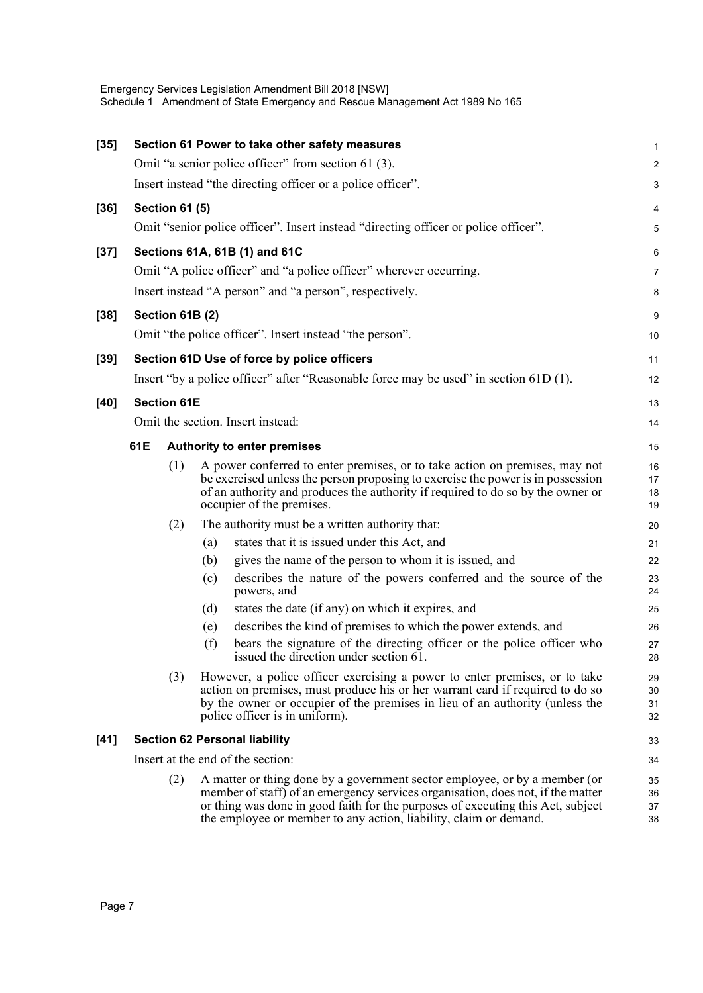| $[35]$ |     |                       |     | Section 61 Power to take other safety measures                                                                                                                                                                                                                                                                        | 1                    |
|--------|-----|-----------------------|-----|-----------------------------------------------------------------------------------------------------------------------------------------------------------------------------------------------------------------------------------------------------------------------------------------------------------------------|----------------------|
|        |     |                       |     | Omit "a senior police officer" from section 61 (3).                                                                                                                                                                                                                                                                   | 2                    |
|        |     |                       |     | Insert instead "the directing officer or a police officer".                                                                                                                                                                                                                                                           | 3                    |
|        |     |                       |     |                                                                                                                                                                                                                                                                                                                       |                      |
| $[36]$ |     | <b>Section 61 (5)</b> |     |                                                                                                                                                                                                                                                                                                                       | 4                    |
|        |     |                       |     | Omit "senior police officer". Insert instead "directing officer or police officer".                                                                                                                                                                                                                                   | 5                    |
| $[37]$ |     |                       |     | Sections 61A, 61B (1) and 61C                                                                                                                                                                                                                                                                                         | 6                    |
|        |     |                       |     | Omit "A police officer" and "a police officer" wherever occurring.                                                                                                                                                                                                                                                    | $\overline{7}$       |
|        |     |                       |     | Insert instead "A person" and "a person", respectively.                                                                                                                                                                                                                                                               | 8                    |
| $[38]$ |     | Section 61B (2)       |     |                                                                                                                                                                                                                                                                                                                       | $\boldsymbol{9}$     |
|        |     |                       |     | Omit "the police officer". Insert instead "the person".                                                                                                                                                                                                                                                               | 10                   |
| $[39]$ |     |                       |     | Section 61D Use of force by police officers                                                                                                                                                                                                                                                                           | 11                   |
|        |     |                       |     | Insert "by a police officer" after "Reasonable force may be used" in section 61D (1).                                                                                                                                                                                                                                 | 12                   |
|        |     | <b>Section 61E</b>    |     |                                                                                                                                                                                                                                                                                                                       |                      |
| [40]   |     |                       |     |                                                                                                                                                                                                                                                                                                                       | 13                   |
|        |     |                       |     | Omit the section. Insert instead:                                                                                                                                                                                                                                                                                     | 14                   |
|        | 61E |                       |     | <b>Authority to enter premises</b>                                                                                                                                                                                                                                                                                    | 15                   |
|        |     | (1)                   |     | A power conferred to enter premises, or to take action on premises, may not<br>be exercised unless the person proposing to exercise the power is in possession<br>of an authority and produces the authority if required to do so by the owner or<br>occupier of the premises.                                        | 16<br>17<br>18<br>19 |
|        |     | (2)                   |     | The authority must be a written authority that:                                                                                                                                                                                                                                                                       | 20                   |
|        |     |                       | (a) | states that it is issued under this Act, and                                                                                                                                                                                                                                                                          | 21                   |
|        |     |                       | (b) | gives the name of the person to whom it is issued, and                                                                                                                                                                                                                                                                | 22                   |
|        |     |                       | (c) | describes the nature of the powers conferred and the source of the<br>powers, and                                                                                                                                                                                                                                     | 23<br>24             |
|        |     |                       | (d) | states the date (if any) on which it expires, and                                                                                                                                                                                                                                                                     | 25                   |
|        |     |                       | (e) | describes the kind of premises to which the power extends, and                                                                                                                                                                                                                                                        | 26                   |
|        |     |                       | (f) | bears the signature of the directing officer or the police officer who<br>issued the direction under section 61.                                                                                                                                                                                                      | 27<br>28             |
|        |     | (3)                   |     | However, a police officer exercising a power to enter premises, or to take<br>action on premises, must produce his or her warrant card if required to do so<br>by the owner or occupier of the premises in lieu of an authority (unless the<br>police officer is in uniform).                                         | 29<br>30<br>31<br>32 |
| $[41]$ |     |                       |     | <b>Section 62 Personal liability</b>                                                                                                                                                                                                                                                                                  | 33                   |
|        |     |                       |     | Insert at the end of the section:                                                                                                                                                                                                                                                                                     | 34                   |
|        |     | (2)                   |     | A matter or thing done by a government sector employee, or by a member (or<br>member of staff) of an emergency services organisation, does not, if the matter<br>or thing was done in good faith for the purposes of executing this Act, subject<br>the employee or member to any action, liability, claim or demand. | 35<br>36<br>37<br>38 |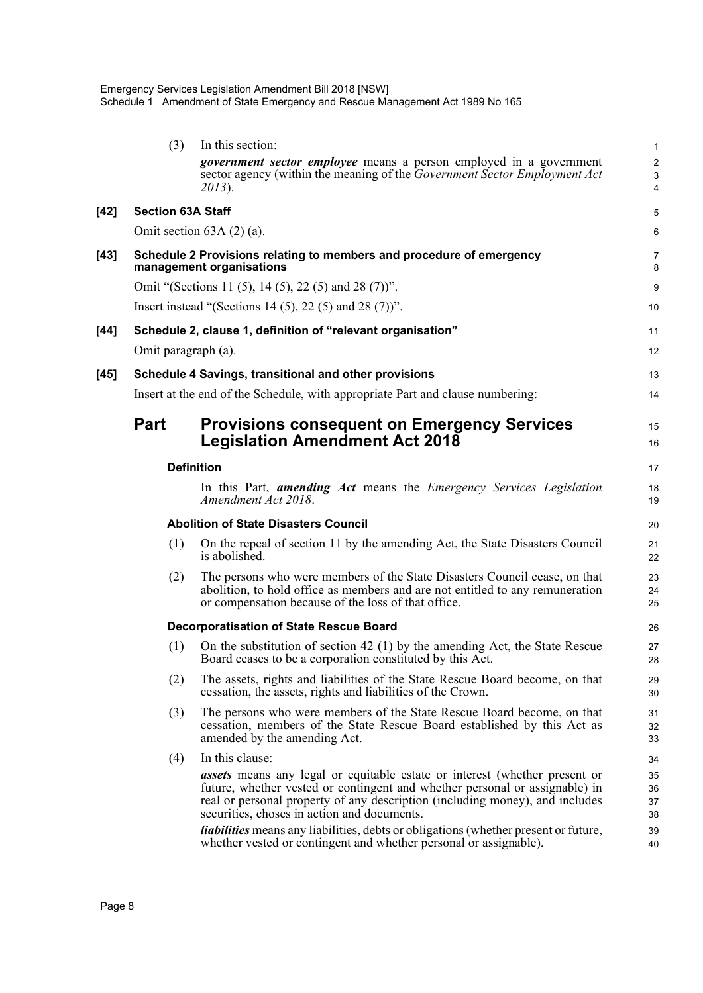|      | (3)                      | In this section:                                                                                                                                                                                                                                                                                | $\mathbf{1}$         |
|------|--------------------------|-------------------------------------------------------------------------------------------------------------------------------------------------------------------------------------------------------------------------------------------------------------------------------------------------|----------------------|
|      |                          | government sector employee means a person employed in a government                                                                                                                                                                                                                              | $\overline{2}$       |
|      |                          | sector agency (within the meaning of the <i>Government Sector Employment Act</i><br>2013).                                                                                                                                                                                                      | 3<br>4               |
| [42] | <b>Section 63A Staff</b> |                                                                                                                                                                                                                                                                                                 | 5                    |
|      |                          | Omit section $63A(2)(a)$ .                                                                                                                                                                                                                                                                      | 6                    |
| [43] |                          | Schedule 2 Provisions relating to members and procedure of emergency<br>management organisations                                                                                                                                                                                                | 7<br>8               |
|      |                          | Omit "(Sections 11 (5), 14 (5), 22 (5) and 28 (7)".                                                                                                                                                                                                                                             | 9                    |
|      |                          | Insert instead "(Sections 14 (5), 22 (5) and 28 (7)".                                                                                                                                                                                                                                           | 10                   |
| [44] |                          | Schedule 2, clause 1, definition of "relevant organisation"                                                                                                                                                                                                                                     | 11                   |
|      | Omit paragraph (a).      |                                                                                                                                                                                                                                                                                                 | 12                   |
| [45] |                          | Schedule 4 Savings, transitional and other provisions                                                                                                                                                                                                                                           | 13                   |
|      |                          | Insert at the end of the Schedule, with appropriate Part and clause numbering:                                                                                                                                                                                                                  | 14                   |
|      | <b>Part</b>              | <b>Provisions consequent on Emergency Services</b><br><b>Legislation Amendment Act 2018</b>                                                                                                                                                                                                     | 15<br>16             |
|      |                          | <b>Definition</b>                                                                                                                                                                                                                                                                               | 17                   |
|      |                          | In this Part, <i>amending Act</i> means the <i>Emergency Services Legislation</i><br>Amendment Act 2018.                                                                                                                                                                                        | 18<br>19             |
|      |                          | <b>Abolition of State Disasters Council</b>                                                                                                                                                                                                                                                     | 20                   |
|      | (1)                      | On the repeal of section 11 by the amending Act, the State Disasters Council<br>is abolished.                                                                                                                                                                                                   | 21<br>22             |
|      | (2)                      | The persons who were members of the State Disasters Council cease, on that<br>abolition, to hold office as members and are not entitled to any remuneration<br>or compensation because of the loss of that office.                                                                              | 23<br>24<br>25       |
|      |                          | <b>Decorporatisation of State Rescue Board</b>                                                                                                                                                                                                                                                  | 26                   |
|      | (1)                      | On the substitution of section 42 (1) by the amending Act, the State Rescue<br>Board ceases to be a corporation constituted by this Act.                                                                                                                                                        | 27<br>28             |
|      | (2)                      | The assets, rights and liabilities of the State Rescue Board become, on that<br>cessation, the assets, rights and liabilities of the Crown.                                                                                                                                                     | 29<br>30             |
|      | (3)                      | The persons who were members of the State Rescue Board become, on that<br>cessation, members of the State Rescue Board established by this Act as<br>amended by the amending Act.                                                                                                               | 31<br>32<br>33       |
|      | (4)                      | In this clause:                                                                                                                                                                                                                                                                                 | 34                   |
|      |                          | <b>assets</b> means any legal or equitable estate or interest (whether present or<br>future, whether vested or contingent and whether personal or assignable) in<br>real or personal property of any description (including money), and includes<br>securities, choses in action and documents. | 35<br>36<br>37<br>38 |
|      |                          | <i>liabilities</i> means any liabilities, debts or obligations (whether present or future,<br>whether vested or contingent and whether personal or assignable).                                                                                                                                 | 39<br>40             |
|      |                          |                                                                                                                                                                                                                                                                                                 |                      |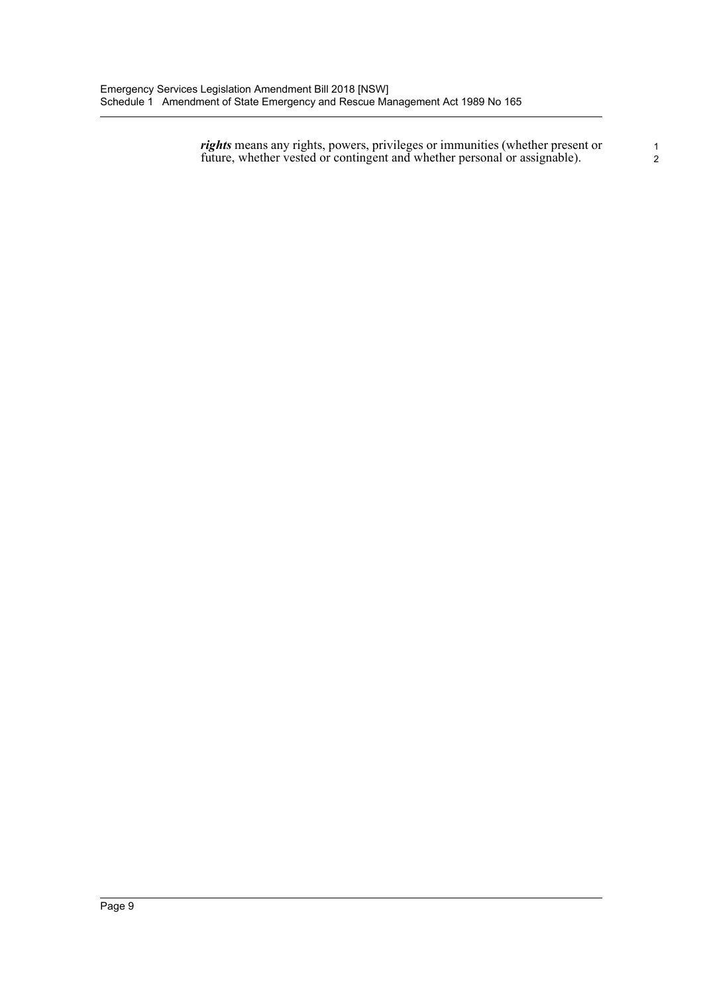*rights* means any rights, powers, privileges or immunities (whether present or future, whether vested or contingent and whether personal or assignable). 2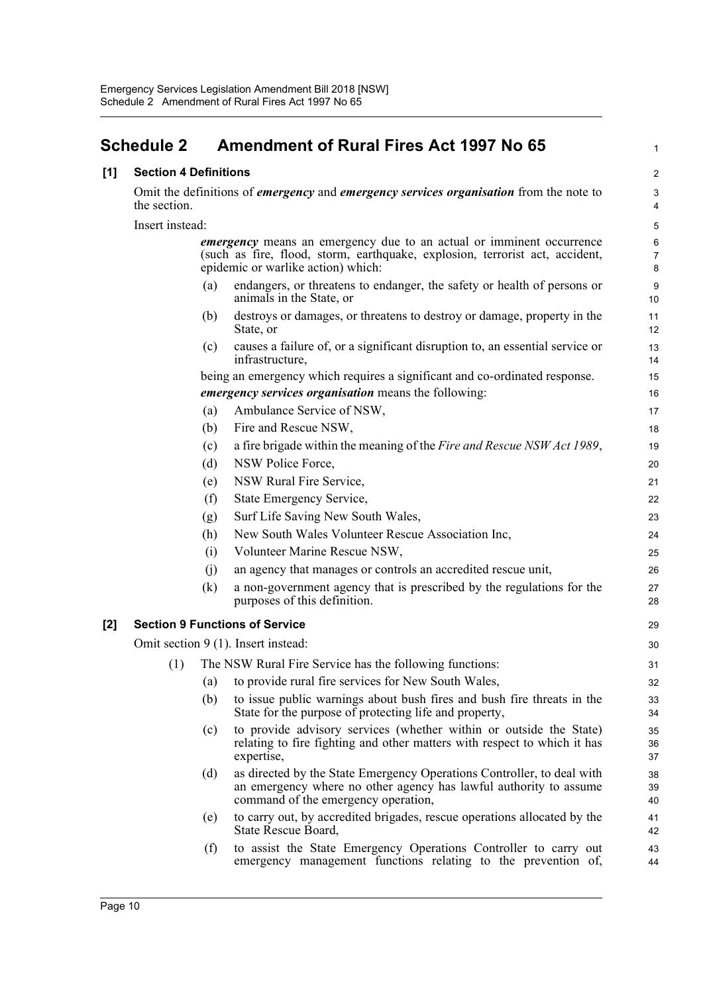## <span id="page-14-0"></span>**Schedule 2 • Amendment of Rural Fires Act 1997 No 65**

#### **[1] Section 4 Definitions** 2

Omit the definitions of *emergency* and *emergency services organisation* from the note to 3 the section. 4

Insert instead: 5

*emergency* means an emergency due to an actual or imminent occurrence 6 (such as fire, flood, storm, earthquake, explosion, terrorist act, accident, epidemic or warlike action) which: 8

7

36

39

44

- (a) endangers, or threatens to endanger, the safety or health of persons or 9 animals in the State, or 10
- (b) destroys or damages, or threatens to destroy or damage, property in the 11 State, or 12
- (c) causes a failure of, or a significant disruption to, an essential service or 13 infrastructure, 14

being an emergency which requires a significant and co-ordinated response. 15 *emergency services organisation* means the following: 16

### (a) Ambulance Service of NSW, 17

- (b) Fire and Rescue NSW, 18 (c) a fire brigade within the meaning of the *Fire and Rescue NSW Act 1989*, 19 (d) NSW Police Force, 20 (e) NSW Rural Fire Service, 21 (f) State Emergency Service, 22 (g) Surf Life Saving New South Wales, 23 (h) New South Wales Volunteer Rescue Association Inc, 24 (i) Volunteer Marine Rescue NSW, 25 (j) an agency that manages or controls an accredited rescue unit, 26
- (k) a non-government agency that is prescribed by the regulations for the 27 purposes of this definition. 28

#### **[2] Section 9 Functions of Service** 29

Omit section 9 (1). Insert instead: 30

- (1) The NSW Rural Fire Service has the following functions: 31
	- (a) to provide rural fire services for New South Wales, 32
	- (b) to issue public warnings about bush fires and bush fire threats in the 33 State for the purpose of protecting life and property, 34
	- (c) to provide advisory services (whether within or outside the State) 35 relating to fire fighting and other matters with respect to which it has expertise, 37
	- (d) as directed by the State Emergency Operations Controller, to deal with 38 an emergency where no other agency has lawful authority to assume command of the emergency operation, 40
	- (e) to carry out, by accredited brigades, rescue operations allocated by the 41 State Rescue Board, 42
	- (f) to assist the State Emergency Operations Controller to carry out 43 emergency management functions relating to the prevention of,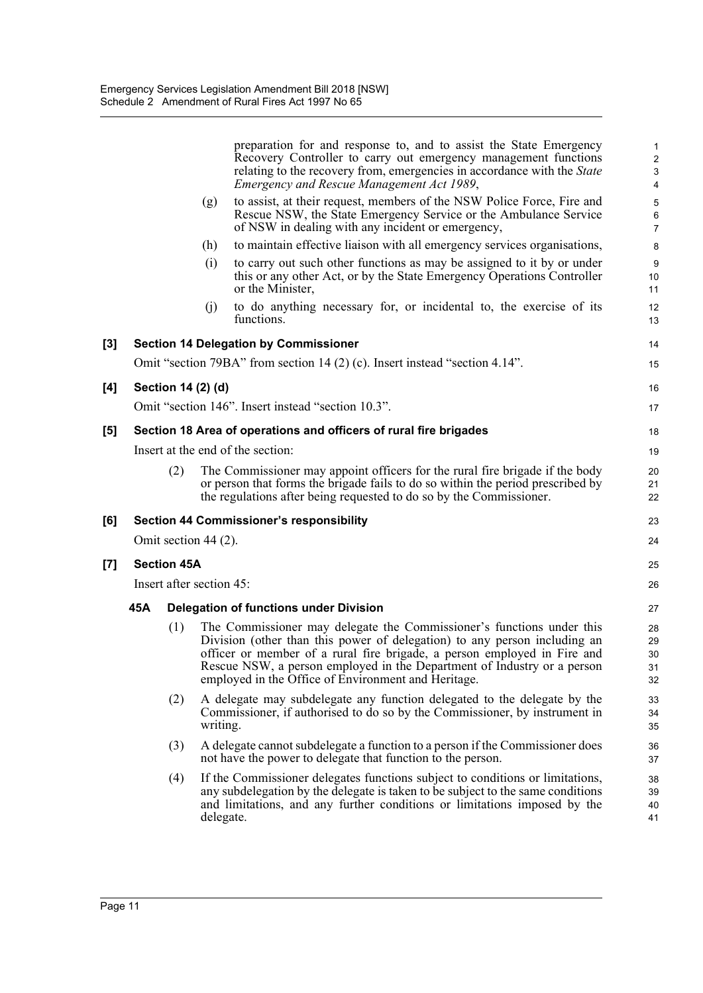|     |                          |                      |           | preparation for and response to, and to assist the State Emergency<br>Recovery Controller to carry out emergency management functions                                                                                                                                                                                                                            | $\mathbf{1}$<br>$\overline{\mathbf{c}}$ |
|-----|--------------------------|----------------------|-----------|------------------------------------------------------------------------------------------------------------------------------------------------------------------------------------------------------------------------------------------------------------------------------------------------------------------------------------------------------------------|-----------------------------------------|
|     |                          |                      |           | relating to the recovery from, emergencies in accordance with the <i>State</i><br>Emergency and Rescue Management Act 1989,                                                                                                                                                                                                                                      | 3<br>4                                  |
|     |                          |                      | (g)       | to assist, at their request, members of the NSW Police Force, Fire and<br>Rescue NSW, the State Emergency Service or the Ambulance Service<br>of NSW in dealing with any incident or emergency,                                                                                                                                                                  | 5<br>$\,6$<br>$\overline{7}$            |
|     |                          |                      | (h)       | to maintain effective liaison with all emergency services organisations,                                                                                                                                                                                                                                                                                         | 8                                       |
|     |                          |                      | (i)       | to carry out such other functions as may be assigned to it by or under<br>this or any other Act, or by the State Emergency Operations Controller<br>or the Minister,                                                                                                                                                                                             | 9<br>10<br>11                           |
|     |                          |                      | (j)       | to do anything necessary for, or incidental to, the exercise of its<br>functions.                                                                                                                                                                                                                                                                                | 12<br>13                                |
| [3] |                          |                      |           | <b>Section 14 Delegation by Commissioner</b>                                                                                                                                                                                                                                                                                                                     | 14                                      |
|     |                          |                      |           | Omit "section 79BA" from section 14 (2) (c). Insert instead "section 4.14".                                                                                                                                                                                                                                                                                      | 15                                      |
| [4] |                          | Section 14 (2) (d)   |           |                                                                                                                                                                                                                                                                                                                                                                  | 16                                      |
|     |                          |                      |           | Omit "section 146". Insert instead "section 10.3".                                                                                                                                                                                                                                                                                                               | 17                                      |
| [5] |                          |                      |           | Section 18 Area of operations and officers of rural fire brigades                                                                                                                                                                                                                                                                                                | 18                                      |
|     |                          |                      |           | Insert at the end of the section:                                                                                                                                                                                                                                                                                                                                | 19                                      |
|     |                          | (2)                  |           | The Commissioner may appoint officers for the rural fire brigade if the body<br>or person that forms the brigade fails to do so within the period prescribed by<br>the regulations after being requested to do so by the Commissioner.                                                                                                                           | 20<br>21<br>22                          |
| [6] |                          |                      |           | <b>Section 44 Commissioner's responsibility</b>                                                                                                                                                                                                                                                                                                                  | 23                                      |
|     |                          | Omit section 44 (2). |           |                                                                                                                                                                                                                                                                                                                                                                  | 24                                      |
| [7] |                          | <b>Section 45A</b>   |           |                                                                                                                                                                                                                                                                                                                                                                  | 25                                      |
|     | Insert after section 45: |                      |           |                                                                                                                                                                                                                                                                                                                                                                  |                                         |
|     | 45A                      |                      |           | <b>Delegation of functions under Division</b>                                                                                                                                                                                                                                                                                                                    | 27                                      |
|     |                          | (1)                  |           | The Commissioner may delegate the Commissioner's functions under this<br>Division (other than this power of delegation) to any person including an<br>officer or member of a rural fire brigade, a person employed in Fire and<br>Rescue NSW, a person employed in the Department of Industry or a person<br>employed in the Office of Environment and Heritage. | 28<br>29<br>30<br>31<br>32              |
|     |                          | (2)                  | writing.  | A delegate may subdelegate any function delegated to the delegate by the<br>Commissioner, if authorised to do so by the Commissioner, by instrument in                                                                                                                                                                                                           | 33<br>34<br>35                          |
|     |                          | (3)                  |           | A delegate cannot subdelegate a function to a person if the Commissioner does<br>not have the power to delegate that function to the person.                                                                                                                                                                                                                     | 36<br>37                                |
|     |                          | (4)                  | delegate. | If the Commissioner delegates functions subject to conditions or limitations,<br>any subdelegation by the delegate is taken to be subject to the same conditions<br>and limitations, and any further conditions or limitations imposed by the                                                                                                                    | 38<br>39<br>40<br>41                    |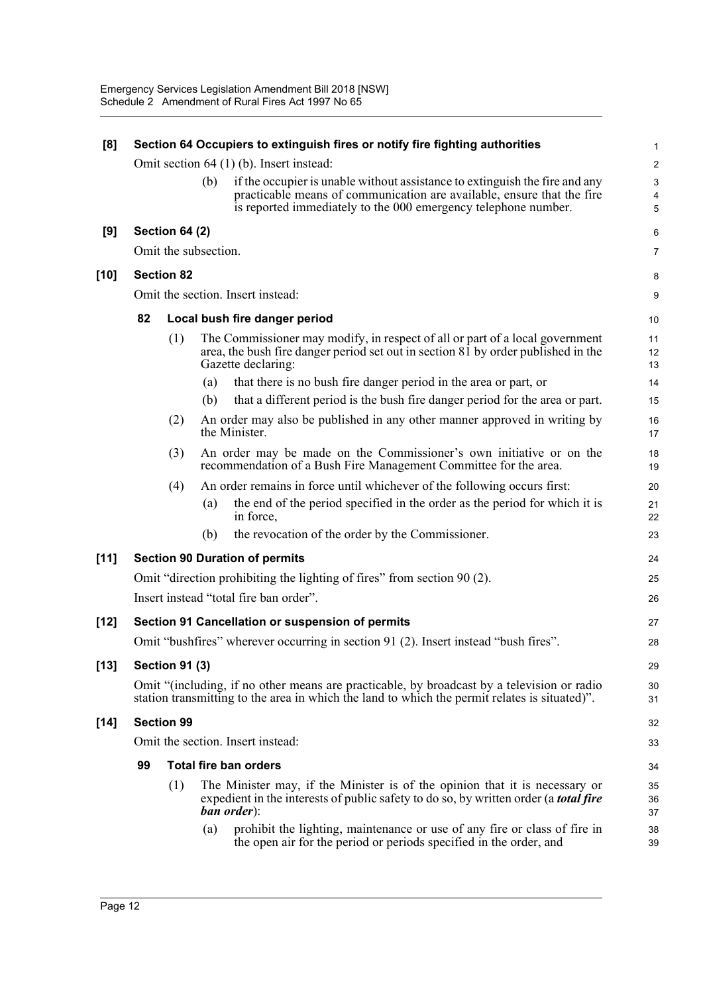| [8]    | Section 64 Occupiers to extinguish fires or notify fire fighting authorities |                       |     |                                                                                                                                                                                           |                         |  |  |
|--------|------------------------------------------------------------------------------|-----------------------|-----|-------------------------------------------------------------------------------------------------------------------------------------------------------------------------------------------|-------------------------|--|--|
|        |                                                                              |                       |     | Omit section 64 (1) (b). Insert instead:                                                                                                                                                  | $\overline{2}$          |  |  |
|        |                                                                              |                       | (b) | if the occupier is unable without assistance to extinguish the fire and any                                                                                                               | 3                       |  |  |
|        |                                                                              |                       |     | practicable means of communication are available, ensure that the fire                                                                                                                    | $\overline{\mathbf{4}}$ |  |  |
|        |                                                                              |                       |     | is reported immediately to the 000 emergency telephone number.                                                                                                                            | 5                       |  |  |
| [9]    |                                                                              | <b>Section 64 (2)</b> |     |                                                                                                                                                                                           | 6                       |  |  |
|        |                                                                              | Omit the subsection.  |     |                                                                                                                                                                                           | $\overline{7}$          |  |  |
| [10]   |                                                                              | <b>Section 82</b>     |     |                                                                                                                                                                                           | 8                       |  |  |
|        |                                                                              |                       |     | Omit the section. Insert instead:                                                                                                                                                         | 9                       |  |  |
|        | 82                                                                           |                       |     | Local bush fire danger period                                                                                                                                                             | 10                      |  |  |
|        |                                                                              | (1)                   |     | The Commissioner may modify, in respect of all or part of a local government<br>area, the bush fire danger period set out in section 81 by order published in the<br>Gazette declaring:   | 11<br>12<br>13          |  |  |
|        |                                                                              |                       | (a) | that there is no bush fire danger period in the area or part, or                                                                                                                          | 14                      |  |  |
|        |                                                                              |                       | (b) | that a different period is the bush fire danger period for the area or part.                                                                                                              | 15                      |  |  |
|        |                                                                              | (2)                   |     | An order may also be published in any other manner approved in writing by<br>the Minister.                                                                                                | 16<br>17                |  |  |
|        |                                                                              | (3)                   |     | An order may be made on the Commissioner's own initiative or on the<br>recommendation of a Bush Fire Management Committee for the area.                                                   | 18<br>19                |  |  |
|        |                                                                              | (4)                   |     | An order remains in force until whichever of the following occurs first:                                                                                                                  | 20                      |  |  |
|        |                                                                              |                       | (a) | the end of the period specified in the order as the period for which it is<br>in force,                                                                                                   | 21<br>22                |  |  |
|        |                                                                              |                       | (b) | the revocation of the order by the Commissioner.                                                                                                                                          | 23                      |  |  |
| $[11]$ |                                                                              |                       |     | <b>Section 90 Duration of permits</b>                                                                                                                                                     | 24                      |  |  |
|        |                                                                              |                       |     | Omit "direction prohibiting the lighting of fires" from section 90 (2).                                                                                                                   | 25                      |  |  |
|        |                                                                              |                       |     | Insert instead "total fire ban order".                                                                                                                                                    | 26                      |  |  |
| $[12]$ |                                                                              |                       |     | Section 91 Cancellation or suspension of permits                                                                                                                                          | 27                      |  |  |
|        |                                                                              |                       |     | Omit "bushfires" wherever occurring in section 91 (2). Insert instead "bush fires".                                                                                                       | 28                      |  |  |
| $[13]$ |                                                                              | <b>Section 91 (3)</b> |     |                                                                                                                                                                                           | 29                      |  |  |
|        |                                                                              |                       |     | Omit "(including, if no other means are practicable, by broadcast by a television or radio                                                                                                | 30                      |  |  |
|        |                                                                              |                       |     | station transmitting to the area in which the land to which the permit relates is situated)".                                                                                             | 31                      |  |  |
| [14]   |                                                                              | <b>Section 99</b>     |     |                                                                                                                                                                                           | 32                      |  |  |
|        |                                                                              |                       |     | Omit the section. Insert instead:                                                                                                                                                         | 33                      |  |  |
|        | 99                                                                           |                       |     | <b>Total fire ban orders</b>                                                                                                                                                              | 34                      |  |  |
|        |                                                                              | (1)                   |     | The Minister may, if the Minister is of the opinion that it is necessary or<br>expedient in the interests of public safety to do so, by written order (a <b>total fire</b><br>ban order): | 35<br>36<br>37          |  |  |
|        |                                                                              |                       | (a) | prohibit the lighting, maintenance or use of any fire or class of fire in<br>the open air for the period or periods specified in the order, and                                           | 38<br>39                |  |  |
|        |                                                                              |                       |     |                                                                                                                                                                                           |                         |  |  |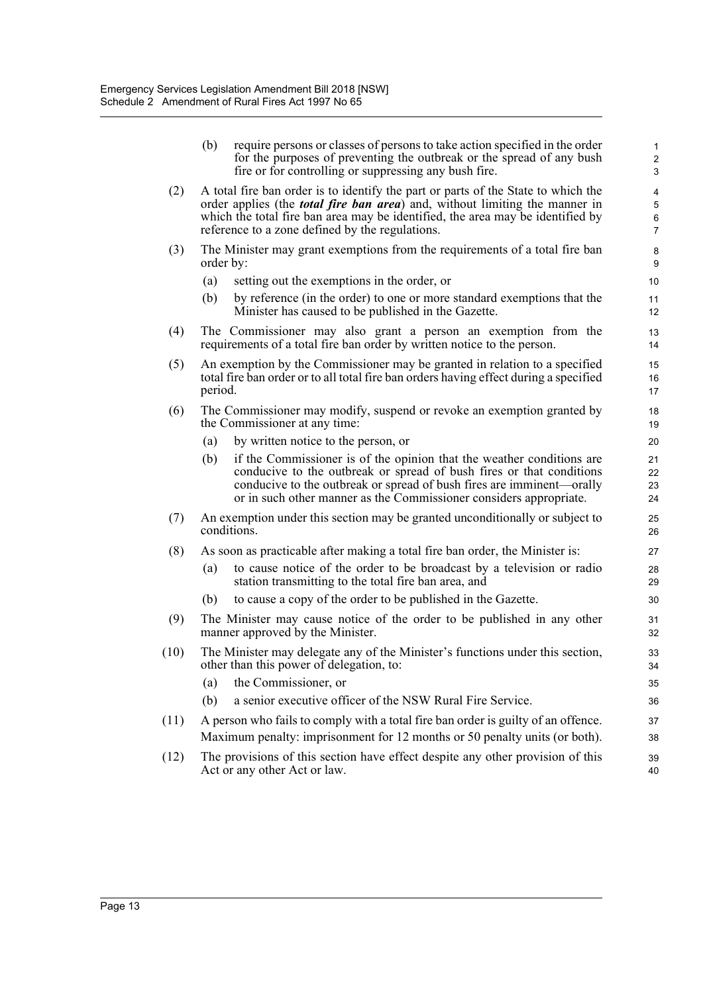|      | (b)       | require persons or classes of persons to take action specified in the order<br>for the purposes of preventing the outbreak or the spread of any bush<br>fire or for controlling or suppressing any bush fire.                                                                                                 | $\mathbf{1}$<br>$\overline{\mathbf{c}}$<br>3 |
|------|-----------|---------------------------------------------------------------------------------------------------------------------------------------------------------------------------------------------------------------------------------------------------------------------------------------------------------------|----------------------------------------------|
| (2)  |           | A total fire ban order is to identify the part or parts of the State to which the<br>order applies (the <i>total fire ban area</i> ) and, without limiting the manner in<br>which the total fire ban area may be identified, the area may be identified by<br>reference to a zone defined by the regulations. | 4<br>5<br>6<br>$\overline{7}$                |
| (3)  | order by: | The Minister may grant exemptions from the requirements of a total fire ban                                                                                                                                                                                                                                   | 8<br>9                                       |
|      | (a)       | setting out the exemptions in the order, or                                                                                                                                                                                                                                                                   | 10                                           |
|      | (b)       | by reference (in the order) to one or more standard exemptions that the<br>Minister has caused to be published in the Gazette.                                                                                                                                                                                | 11<br>12 <sup>2</sup>                        |
| (4)  |           | The Commissioner may also grant a person an exemption from the<br>requirements of a total fire ban order by written notice to the person.                                                                                                                                                                     | 13<br>14                                     |
| (5)  | period.   | An exemption by the Commissioner may be granted in relation to a specified<br>total fire ban order or to all total fire ban orders having effect during a specified                                                                                                                                           | 15<br>16<br>17                               |
| (6)  |           | The Commissioner may modify, suspend or revoke an exemption granted by<br>the Commissioner at any time:                                                                                                                                                                                                       | 18<br>19                                     |
|      | (a)       | by written notice to the person, or                                                                                                                                                                                                                                                                           | 20                                           |
|      | (b)       | if the Commissioner is of the opinion that the weather conditions are<br>conducive to the outbreak or spread of bush fires or that conditions<br>conducive to the outbreak or spread of bush fires are imminent—orally<br>or in such other manner as the Commissioner considers appropriate.                  | 21<br>22<br>23<br>24                         |
| (7)  |           | An exemption under this section may be granted unconditionally or subject to<br>conditions.                                                                                                                                                                                                                   | 25<br>26                                     |
| (8)  |           | As soon as practicable after making a total fire ban order, the Minister is:                                                                                                                                                                                                                                  | 27                                           |
|      | (a)       | to cause notice of the order to be broadcast by a television or radio<br>station transmitting to the total fire ban area, and                                                                                                                                                                                 | 28<br>29                                     |
|      | (b)       | to cause a copy of the order to be published in the Gazette.                                                                                                                                                                                                                                                  | 30                                           |
| (9)  |           | The Minister may cause notice of the order to be published in any other<br>manner approved by the Minister.                                                                                                                                                                                                   | 31<br>32                                     |
| (10) |           | The Minister may delegate any of the Minister's functions under this section,<br>other than this power of delegation, to:                                                                                                                                                                                     | 33<br>34                                     |
|      | (a)       | the Commissioner, or                                                                                                                                                                                                                                                                                          | 35                                           |
|      | (b)       | a senior executive officer of the NSW Rural Fire Service.                                                                                                                                                                                                                                                     | 36                                           |
| (11) |           | A person who fails to comply with a total fire ban order is guilty of an offence.                                                                                                                                                                                                                             | 37                                           |
|      |           | Maximum penalty: imprisonment for 12 months or 50 penalty units (or both).                                                                                                                                                                                                                                    | 38                                           |
| (12) |           | The provisions of this section have effect despite any other provision of this<br>Act or any other Act or law.                                                                                                                                                                                                | 39<br>40                                     |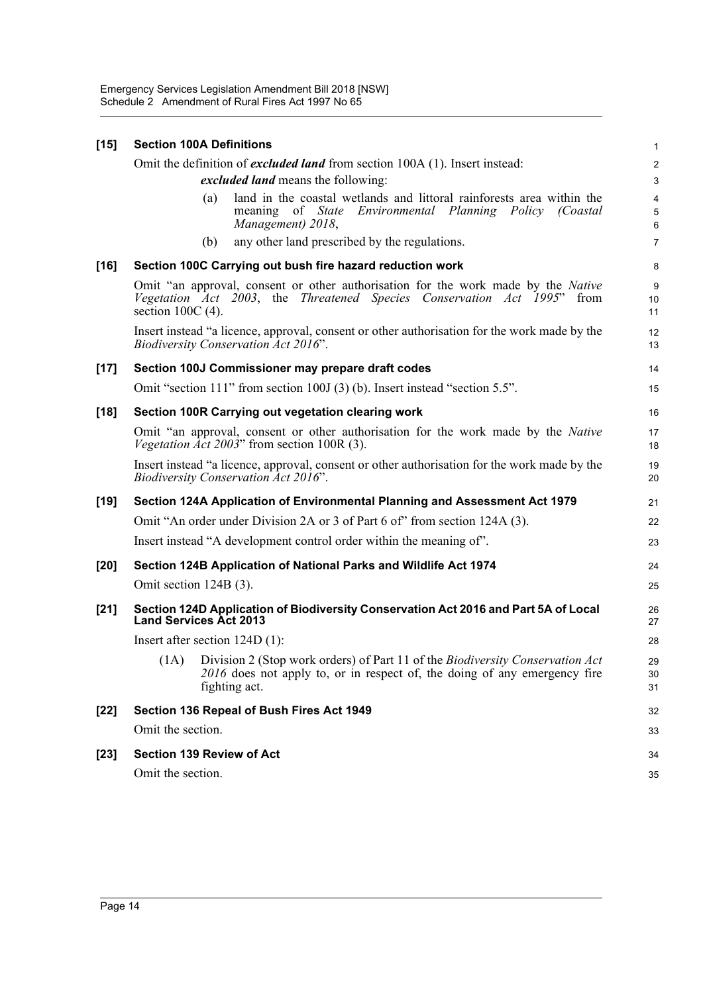| $[15]$<br><b>Section 100A Definitions</b> |                                                                                                                                                                                            |                                   |  |  |  |  |  |  |
|-------------------------------------------|--------------------------------------------------------------------------------------------------------------------------------------------------------------------------------------------|-----------------------------------|--|--|--|--|--|--|
|                                           | Omit the definition of excluded land from section 100A (1). Insert instead:                                                                                                                | $\overline{\mathbf{c}}$           |  |  |  |  |  |  |
|                                           | <i>excluded land</i> means the following:                                                                                                                                                  |                                   |  |  |  |  |  |  |
|                                           | land in the coastal wetlands and littoral rainforests area within the<br>(a)<br>meaning of State Environmental Planning Policy (Coastal<br>Management) 2018,                               | $\overline{\mathbf{4}}$<br>5<br>6 |  |  |  |  |  |  |
|                                           | any other land prescribed by the regulations.<br>(b)                                                                                                                                       | $\overline{7}$                    |  |  |  |  |  |  |
| $[16]$                                    | Section 100C Carrying out bush fire hazard reduction work                                                                                                                                  | 8                                 |  |  |  |  |  |  |
|                                           | Omit "an approval, consent or other authorisation for the work made by the <i>Native</i><br>Vegetation Act 2003, the Threatened Species Conservation Act 1995" from<br>section $100C(4)$ . | 9<br>10<br>11                     |  |  |  |  |  |  |
|                                           | Insert instead "a licence, approval, consent or other authorisation for the work made by the<br><b>Biodiversity Conservation Act 2016".</b>                                                | 12<br>13                          |  |  |  |  |  |  |
| $[17]$                                    | Section 100J Commissioner may prepare draft codes                                                                                                                                          | 14                                |  |  |  |  |  |  |
|                                           | Omit "section 111" from section 100J (3) (b). Insert instead "section 5.5".                                                                                                                | 15                                |  |  |  |  |  |  |
| $[18]$                                    | Section 100R Carrying out vegetation clearing work                                                                                                                                         | 16                                |  |  |  |  |  |  |
|                                           | Omit "an approval, consent or other authorisation for the work made by the <i>Native</i><br>Vegetation Act 2003" from section 100R (3).                                                    | 17<br>18                          |  |  |  |  |  |  |
|                                           | Insert instead "a licence, approval, consent or other authorisation for the work made by the<br><b>Biodiversity Conservation Act 2016".</b>                                                | 19<br>20                          |  |  |  |  |  |  |
| $[19]$                                    | Section 124A Application of Environmental Planning and Assessment Act 1979                                                                                                                 | 21                                |  |  |  |  |  |  |
|                                           | Omit "An order under Division 2A or 3 of Part 6 of" from section 124A (3).                                                                                                                 | 22                                |  |  |  |  |  |  |
|                                           | Insert instead "A development control order within the meaning of".                                                                                                                        | 23                                |  |  |  |  |  |  |
| $[20]$                                    | Section 124B Application of National Parks and Wildlife Act 1974                                                                                                                           | 24                                |  |  |  |  |  |  |
|                                           | Omit section 124B (3).                                                                                                                                                                     | 25                                |  |  |  |  |  |  |
| $[21]$                                    | Section 124D Application of Biodiversity Conservation Act 2016 and Part 5A of Local<br><b>Land Services Act 2013</b>                                                                       | 26<br>27                          |  |  |  |  |  |  |
|                                           | Insert after section $124D(1)$ :                                                                                                                                                           | 28                                |  |  |  |  |  |  |
|                                           | Division 2 (Stop work orders) of Part 11 of the Biodiversity Conservation Act<br>(1A)<br>2016 does not apply to, or in respect of, the doing of any emergency fire<br>fighting act.        | 29<br>30<br>31                    |  |  |  |  |  |  |
| $[22]$                                    | Section 136 Repeal of Bush Fires Act 1949                                                                                                                                                  | 32                                |  |  |  |  |  |  |
|                                           | Omit the section.                                                                                                                                                                          | 33                                |  |  |  |  |  |  |
| $[23]$                                    | <b>Section 139 Review of Act</b>                                                                                                                                                           | 34                                |  |  |  |  |  |  |
|                                           | Omit the section.                                                                                                                                                                          | 35                                |  |  |  |  |  |  |
|                                           |                                                                                                                                                                                            |                                   |  |  |  |  |  |  |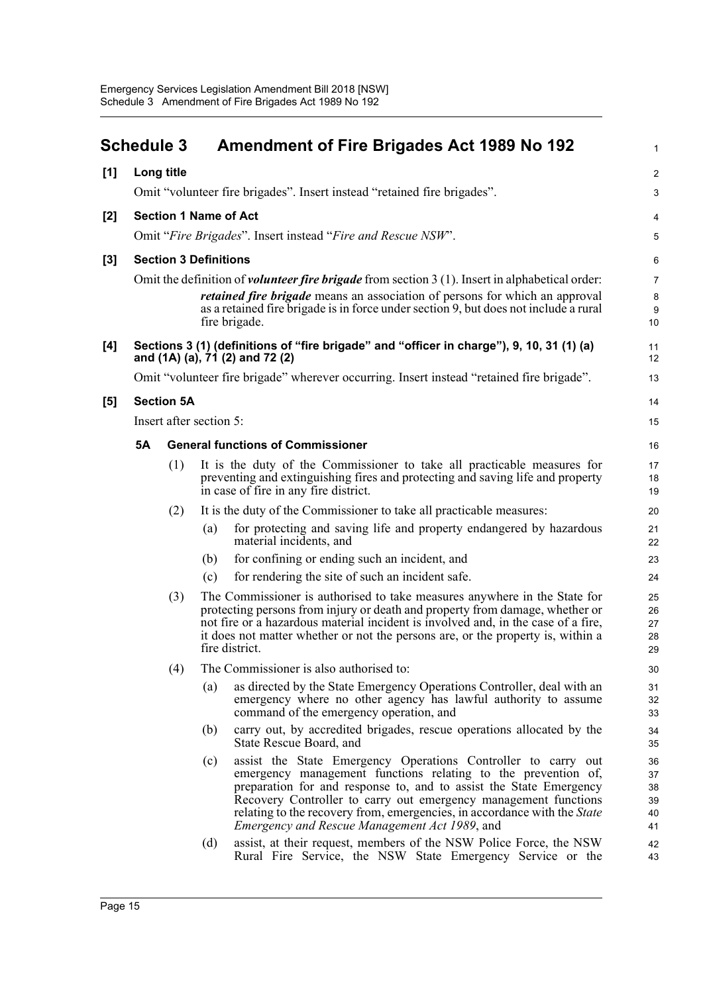<span id="page-19-0"></span>

|       | <b>Schedule 3</b> |                   | <b>Amendment of Fire Brigades Act 1989 No 192</b>                                                                                                                                                                                                                                                                                                                                                                          | $\mathbf{1}$                     |
|-------|-------------------|-------------------|----------------------------------------------------------------------------------------------------------------------------------------------------------------------------------------------------------------------------------------------------------------------------------------------------------------------------------------------------------------------------------------------------------------------------|----------------------------------|
| [1]   | Long title        |                   |                                                                                                                                                                                                                                                                                                                                                                                                                            | $\overline{c}$                   |
|       |                   |                   | Omit "volunteer fire brigades". Insert instead "retained fire brigades".                                                                                                                                                                                                                                                                                                                                                   | 3                                |
| $[2]$ |                   |                   | <b>Section 1 Name of Act</b>                                                                                                                                                                                                                                                                                                                                                                                               | 4                                |
|       |                   |                   | Omit "Fire Brigades". Insert instead "Fire and Rescue NSW".                                                                                                                                                                                                                                                                                                                                                                | 5                                |
| [3]   |                   |                   | <b>Section 3 Definitions</b>                                                                                                                                                                                                                                                                                                                                                                                               | 6                                |
|       |                   |                   | Omit the definition of <i>volunteer fire brigade</i> from section $3(1)$ . Insert in alphabetical order:<br><i>retained fire brigade</i> means an association of persons for which an approval<br>as a retained fire brigade is in force under section 9, but does not include a rural<br>fire brigade.                                                                                                                    | $\overline{7}$<br>8<br>9<br>10   |
| [4]   |                   |                   | Sections 3 (1) (definitions of "fire brigade" and "officer in charge"), 9, 10, 31 (1) (a)<br>and (1A) (a), 71 (2) and 72 (2)                                                                                                                                                                                                                                                                                               | 11<br>12                         |
|       |                   |                   | Omit "volunteer fire brigade" wherever occurring. Insert instead "retained fire brigade".                                                                                                                                                                                                                                                                                                                                  | 13                               |
| [5]   |                   | <b>Section 5A</b> |                                                                                                                                                                                                                                                                                                                                                                                                                            | 14                               |
|       |                   |                   | Insert after section 5:                                                                                                                                                                                                                                                                                                                                                                                                    | 15                               |
|       | <b>5A</b>         |                   | <b>General functions of Commissioner</b>                                                                                                                                                                                                                                                                                                                                                                                   | 16                               |
|       |                   | (1)               | It is the duty of the Commissioner to take all practicable measures for<br>preventing and extinguishing fires and protecting and saving life and property<br>in case of fire in any fire district.                                                                                                                                                                                                                         | 17<br>18<br>19                   |
|       |                   | (2)               | It is the duty of the Commissioner to take all practicable measures:                                                                                                                                                                                                                                                                                                                                                       | 20                               |
|       |                   |                   | for protecting and saving life and property endangered by hazardous<br>(a)<br>material incidents, and                                                                                                                                                                                                                                                                                                                      | 21<br>22                         |
|       |                   |                   | for confining or ending such an incident, and<br>(b)                                                                                                                                                                                                                                                                                                                                                                       | 23                               |
|       |                   |                   | for rendering the site of such an incident safe.<br>(c)                                                                                                                                                                                                                                                                                                                                                                    | 24                               |
|       |                   | (3)               | The Commissioner is authorised to take measures anywhere in the State for<br>protecting persons from injury or death and property from damage, whether or<br>not fire or a hazardous material incident is involved and, in the case of a fire,<br>it does not matter whether or not the persons are, or the property is, within a<br>fire district.                                                                        | 25<br>26<br>27<br>28<br>29       |
|       |                   | (4)               | The Commissioner is also authorised to:                                                                                                                                                                                                                                                                                                                                                                                    | 30                               |
|       |                   |                   | as directed by the State Emergency Operations Controller, deal with an<br>(a)<br>emergency where no other agency has lawful authority to assume<br>command of the emergency operation, and                                                                                                                                                                                                                                 | 31<br>32<br>33                   |
|       |                   |                   | carry out, by accredited brigades, rescue operations allocated by the<br>(b)<br>State Rescue Board, and                                                                                                                                                                                                                                                                                                                    | 34<br>35                         |
|       |                   |                   | assist the State Emergency Operations Controller to carry out<br>(c)<br>emergency management functions relating to the prevention of,<br>preparation for and response to, and to assist the State Emergency<br>Recovery Controller to carry out emergency management functions<br>relating to the recovery from, emergencies, in accordance with the <i>State</i><br><i>Emergency and Rescue Management Act 1989</i> , and | 36<br>37<br>38<br>39<br>40<br>41 |
|       |                   |                   | assist, at their request, members of the NSW Police Force, the NSW<br>(d)<br>Rural Fire Service, the NSW State Emergency Service or the                                                                                                                                                                                                                                                                                    | 42<br>43                         |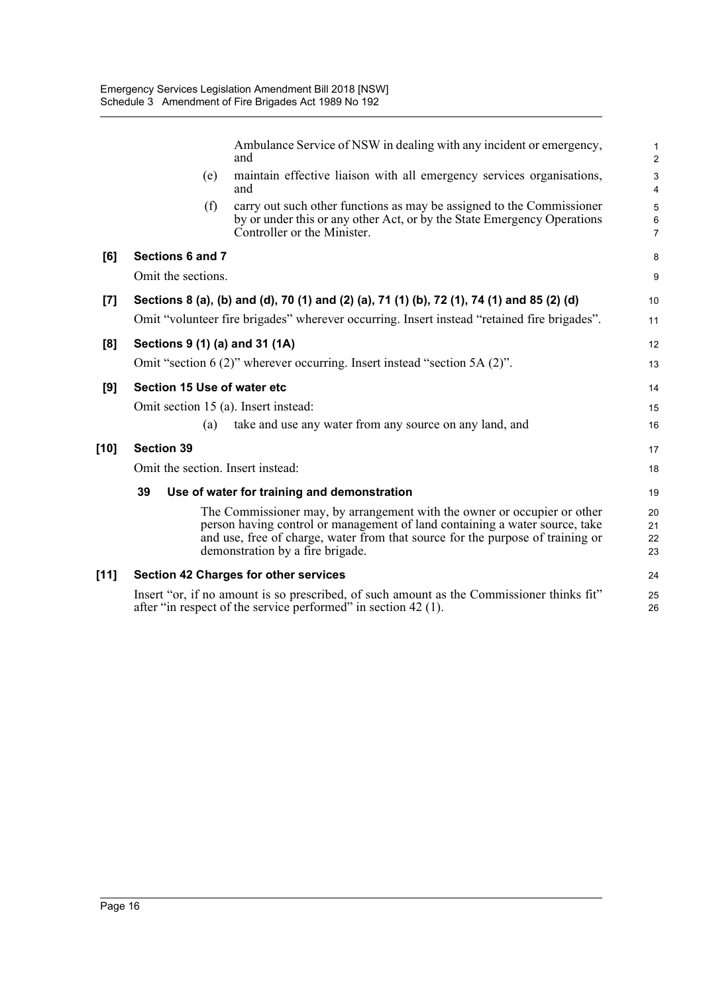|       |                                      | Ambulance Service of NSW in dealing with any incident or emergency,<br>and                                                                                                                                                                                                    | $\mathbf{1}$<br>$\overline{2}$ |
|-------|--------------------------------------|-------------------------------------------------------------------------------------------------------------------------------------------------------------------------------------------------------------------------------------------------------------------------------|--------------------------------|
|       | (e)                                  | maintain effective liaison with all emergency services organisations,<br>and                                                                                                                                                                                                  | 3<br>$\overline{4}$            |
|       | (f)                                  | carry out such other functions as may be assigned to the Commissioner<br>by or under this or any other Act, or by the State Emergency Operations<br>Controller or the Minister.                                                                                               | 5<br>6<br>$\overline{7}$       |
| [6]   | Sections 6 and 7                     |                                                                                                                                                                                                                                                                               | 8                              |
|       | Omit the sections.                   |                                                                                                                                                                                                                                                                               | 9                              |
| $[7]$ |                                      | Sections 8 (a), (b) and (d), 70 (1) and (2) (a), 71 (1) (b), 72 (1), 74 (1) and 85 (2) (d)                                                                                                                                                                                    | 10                             |
|       |                                      | Omit "volunteer fire brigades" wherever occurring. Insert instead "retained fire brigades".                                                                                                                                                                                   | 11                             |
| [8]   | Sections 9 (1) (a) and 31 (1A)       |                                                                                                                                                                                                                                                                               | 12                             |
|       |                                      | Omit "section $6(2)$ " wherever occurring. Insert instead "section $5A(2)$ ".                                                                                                                                                                                                 | 13                             |
| [9]   | Section 15 Use of water etc          |                                                                                                                                                                                                                                                                               | 14                             |
|       | Omit section 15 (a). Insert instead: |                                                                                                                                                                                                                                                                               | 15                             |
|       | (a)                                  | take and use any water from any source on any land, and                                                                                                                                                                                                                       | 16                             |
| [10]  | <b>Section 39</b>                    |                                                                                                                                                                                                                                                                               | 17                             |
|       | Omit the section. Insert instead:    |                                                                                                                                                                                                                                                                               | 18                             |
|       | 39                                   | Use of water for training and demonstration                                                                                                                                                                                                                                   | 19                             |
|       |                                      | The Commissioner may, by arrangement with the owner or occupier or other<br>person having control or management of land containing a water source, take<br>and use, free of charge, water from that source for the purpose of training or<br>demonstration by a fire brigade. | 20<br>21<br>22<br>23           |
| [11]  |                                      | <b>Section 42 Charges for other services</b>                                                                                                                                                                                                                                  | 24                             |
|       |                                      | Insert "or, if no amount is so prescribed, of such amount as the Commissioner thinks fit"<br>after "in respect of the service performed" in section 42 (1).                                                                                                                   | 25<br>26                       |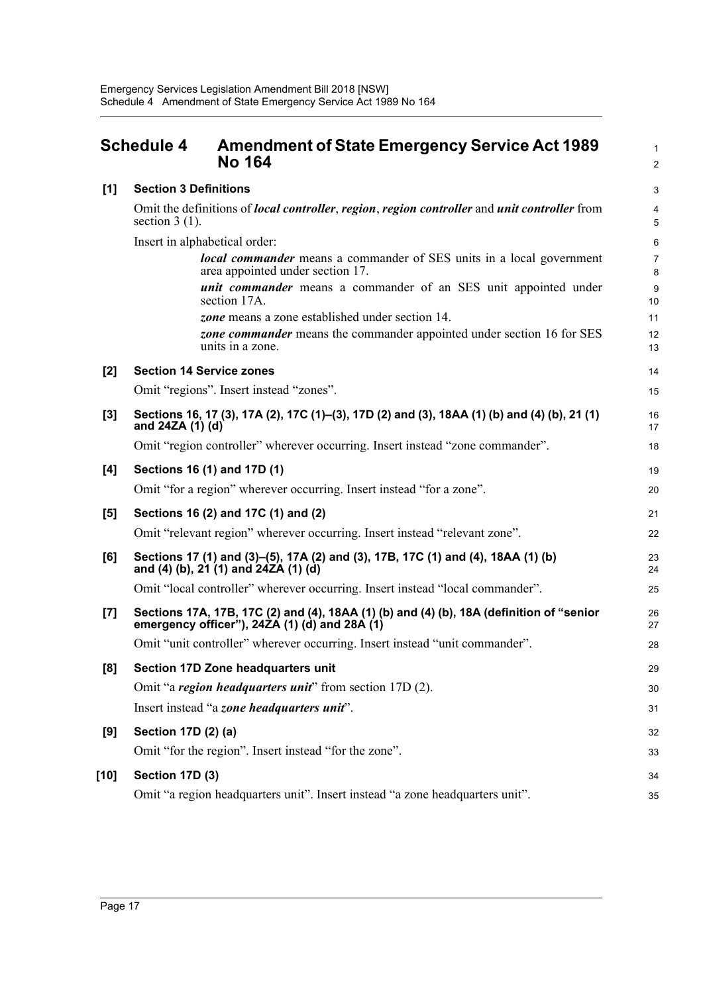<span id="page-21-0"></span>

|       | <b>Schedule 4</b><br><b>Amendment of State Emergency Service Act 1989</b><br><b>No 164</b>                                             | 1<br>$\overline{a}$ |
|-------|----------------------------------------------------------------------------------------------------------------------------------------|---------------------|
| [1]   | <b>Section 3 Definitions</b>                                                                                                           | 3                   |
|       | Omit the definitions of <i>local controller, region, region controller</i> and <i>unit controller</i> from<br>section $3(1)$ .         | 4<br>5              |
|       | Insert in alphabetical order:                                                                                                          | 6                   |
|       | <b>local commander</b> means a commander of SES units in a local government<br>area appointed under section 17.                        | 7<br>8              |
|       | <i>unit commander</i> means a commander of an SES unit appointed under<br>section 17A.                                                 | 9<br>10             |
|       | zone means a zone established under section 14.                                                                                        | 11                  |
|       | zone commander means the commander appointed under section 16 for SES<br>units in a zone.                                              | 12<br>13            |
| $[2]$ | <b>Section 14 Service zones</b>                                                                                                        | 14                  |
|       | Omit "regions". Insert instead "zones".                                                                                                | 15                  |
| $[3]$ | Sections 16, 17 (3), 17A (2), 17C (1)-(3), 17D (2) and (3), 18AA (1) (b) and (4) (b), 21 (1)<br>and 24ZA (1) (d)                       | 16<br>17            |
|       | Omit "region controller" wherever occurring. Insert instead "zone commander".                                                          | 18                  |
| [4]   | Sections 16 (1) and 17D (1)                                                                                                            | 19                  |
|       | Omit "for a region" wherever occurring. Insert instead "for a zone".                                                                   | 20                  |
| [5]   | Sections 16 (2) and 17C (1) and (2)                                                                                                    | 21                  |
|       | Omit "relevant region" wherever occurring. Insert instead "relevant zone".                                                             | 22                  |
| [6]   | Sections 17 (1) and (3)–(5), 17A (2) and (3), 17B, 17C (1) and (4), 18AA (1) (b)<br>and (4) (b), 21 (1) and 24ZA (1) (d)               | 23<br>24            |
|       | Omit "local controller" wherever occurring. Insert instead "local commander".                                                          | 25                  |
| $[7]$ | Sections 17A, 17B, 17C (2) and (4), 18AA (1) (b) and (4) (b), 18A (definition of "senior emergency officer"), 24ZA (1) (d) and 28A (1) | 26<br>27            |
|       | Omit "unit controller" wherever occurring. Insert instead "unit commander".                                                            | 28                  |
| [8]   | Section 17D Zone headquarters unit                                                                                                     | 29                  |
|       | Omit "a region headquarters unit" from section 17D (2).                                                                                | 30                  |
|       | Insert instead "a zone headquarters unit".                                                                                             | 31                  |
| [9]   | Section 17D (2) (a)                                                                                                                    | 32                  |
|       | Omit "for the region". Insert instead "for the zone".                                                                                  | 33                  |
| [10]  | Section 17D (3)                                                                                                                        | 34                  |
|       | Omit "a region headquarters unit". Insert instead "a zone headquarters unit".                                                          | 35                  |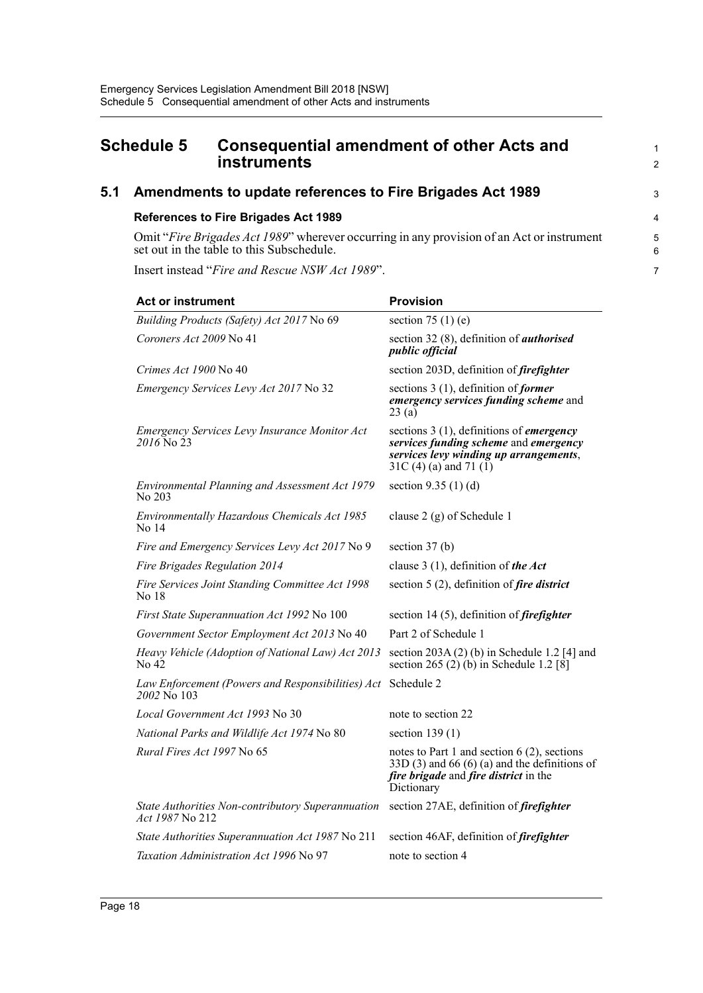### <span id="page-22-0"></span>**Schedule 5 Consequential amendment of other Acts and 1 Consequential amendment of other Acts and instruments** 2

### **5.1 Amendments to update references to Fire Brigades Act 1989** <sup>3</sup>

#### **References to Fire Brigades Act 1989** 4

Omit "*Fire Brigades Act 1989*" wherever occurring in any provision of an Act or instrument 5 set out in the table to this Subschedule. 6

Insert instead "*Fire and Rescue NSW Act 1989*". 7

| <b>Act or instrument</b>                                             | <b>Provision</b>                                                                                                                                                     |  |
|----------------------------------------------------------------------|----------------------------------------------------------------------------------------------------------------------------------------------------------------------|--|
| Building Products (Safety) Act 2017 No 69                            | section 75 $(1)$ (e)                                                                                                                                                 |  |
| Coroners Act 2009 No 41                                              | section 32 (8), definition of <i>authorised</i><br>public official                                                                                                   |  |
| Crimes Act 1900 No 40                                                | section 203D, definition of firefighter                                                                                                                              |  |
| Emergency Services Levy Act 2017 No 32                               | sections $3(1)$ , definition of <i>former</i><br>emergency services funding scheme and<br>23(a)                                                                      |  |
| Emergency Services Levy Insurance Monitor Act<br>2016 No 23          | sections $3(1)$ , definitions of <i>emergency</i><br>services funding scheme and emergency<br>services levy winding up arrangements,<br>$31C(4)$ (a) and 71 (1)      |  |
| Environmental Planning and Assessment Act 1979<br>No 203             | section $9.35(1)(d)$                                                                                                                                                 |  |
| Environmentally Hazardous Chemicals Act 1985<br>No 14                | clause 2 (g) of Schedule 1                                                                                                                                           |  |
| Fire and Emergency Services Levy Act 2017 No 9                       | section $37(b)$                                                                                                                                                      |  |
| Fire Brigades Regulation 2014                                        | clause 3 (1), definition of the Act                                                                                                                                  |  |
| Fire Services Joint Standing Committee Act 1998<br>No 18             | section 5 (2), definition of <i>fire district</i>                                                                                                                    |  |
| First State Superannuation Act 1992 No 100                           | section 14 $(5)$ , definition of <i>firefighter</i>                                                                                                                  |  |
| Government Sector Employment Act 2013 No 40                          | Part 2 of Schedule 1                                                                                                                                                 |  |
| Heavy Vehicle (Adoption of National Law) Act 2013<br>No 42           | section $203A(2)$ (b) in Schedule 1.2 [4] and<br>section 265 (2) (b) in Schedule 1.2 [8]                                                                             |  |
| Law Enforcement (Powers and Responsibilities) Act<br>2002 No 103     | Schedule 2                                                                                                                                                           |  |
| Local Government Act 1993 No 30                                      | note to section 22                                                                                                                                                   |  |
| National Parks and Wildlife Act 1974 No 80                           | section $139(1)$                                                                                                                                                     |  |
| Rural Fires Act 1997 No 65                                           | notes to Part 1 and section $6(2)$ , sections<br>$33D(3)$ and 66 (6) (a) and the definitions of<br><i>fire brigade</i> and <i>fire district</i> in the<br>Dictionary |  |
| State Authorities Non-contributory Superannuation<br>Act 1987 No 212 | section 27AE, definition of <i>firefighter</i>                                                                                                                       |  |
| State Authorities Superannuation Act 1987 No 211                     | section 46AF, definition of <i>firefighter</i>                                                                                                                       |  |
| Taxation Administration Act 1996 No 97                               | note to section 4                                                                                                                                                    |  |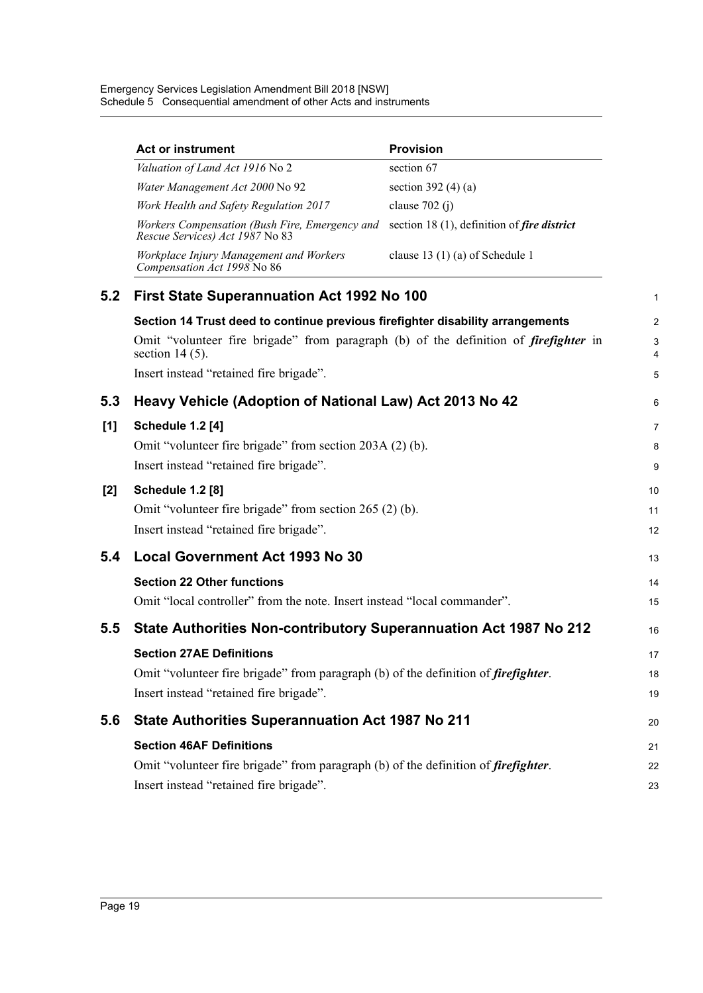Emergency Services Legislation Amendment Bill 2018 [NSW] Schedule 5 Consequential amendment of other Acts and instruments

|     | <b>Act or instrument</b>                                                                                         | <b>Provision</b>                                        |  |  |  |
|-----|------------------------------------------------------------------------------------------------------------------|---------------------------------------------------------|--|--|--|
|     | Valuation of Land Act 1916 No 2                                                                                  | section 67                                              |  |  |  |
|     | Water Management Act 2000 No 92                                                                                  | section 392 $(4)(a)$                                    |  |  |  |
|     | Work Health and Safety Regulation 2017                                                                           | clause $702(j)$                                         |  |  |  |
|     | Workers Compensation (Bush Fire, Emergency and<br>Rescue Services) Act 1987 No 83                                | section 18 (1), definition of fire district             |  |  |  |
|     | Workplace Injury Management and Workers<br>Compensation Act 1998 No 86                                           | clause 13 $(1)$ (a) of Schedule 1                       |  |  |  |
| 5.2 | First State Superannuation Act 1992 No 100                                                                       |                                                         |  |  |  |
|     | Section 14 Trust deed to continue previous firefighter disability arrangements                                   |                                                         |  |  |  |
|     | Omit "volunteer fire brigade" from paragraph (b) of the definition of <i>firefighter</i> in<br>section $14(5)$ . |                                                         |  |  |  |
|     | Insert instead "retained fire brigade".                                                                          |                                                         |  |  |  |
| 5.3 | Heavy Vehicle (Adoption of National Law) Act 2013 No 42                                                          |                                                         |  |  |  |
| [1] | <b>Schedule 1.2 [4]</b>                                                                                          |                                                         |  |  |  |
|     | Omit "volunteer fire brigade" from section 203A (2) (b).                                                         |                                                         |  |  |  |
|     | Insert instead "retained fire brigade".                                                                          |                                                         |  |  |  |
|     | <b>Schedule 1.2 [8]</b>                                                                                          |                                                         |  |  |  |
|     |                                                                                                                  | Omit "volunteer fire brigade" from section 265 (2) (b). |  |  |  |
|     | Insert instead "retained fire brigade".                                                                          |                                                         |  |  |  |
| 5.4 | <b>Local Government Act 1993 No 30</b>                                                                           |                                                         |  |  |  |
|     | <b>Section 22 Other functions</b>                                                                                |                                                         |  |  |  |
|     | Omit "local controller" from the note. Insert instead "local commander".                                         |                                                         |  |  |  |
| 5.5 | State Authorities Non-contributory Superannuation Act 1987 No 212                                                |                                                         |  |  |  |
|     | <b>Section 27AE Definitions</b>                                                                                  |                                                         |  |  |  |
|     | Omit "volunteer fire brigade" from paragraph (b) of the definition of <i>firefighter</i> .                       |                                                         |  |  |  |
|     | Insert instead "retained fire brigade".                                                                          |                                                         |  |  |  |
| 5.6 | <b>State Authorities Superannuation Act 1987 No 211</b>                                                          |                                                         |  |  |  |
|     | <b>Section 46AF Definitions</b>                                                                                  |                                                         |  |  |  |
|     | Omit "volunteer fire brigade" from paragraph (b) of the definition of <i>firefighter</i> .                       |                                                         |  |  |  |
|     | Insert instead "retained fire brigade".                                                                          |                                                         |  |  |  |